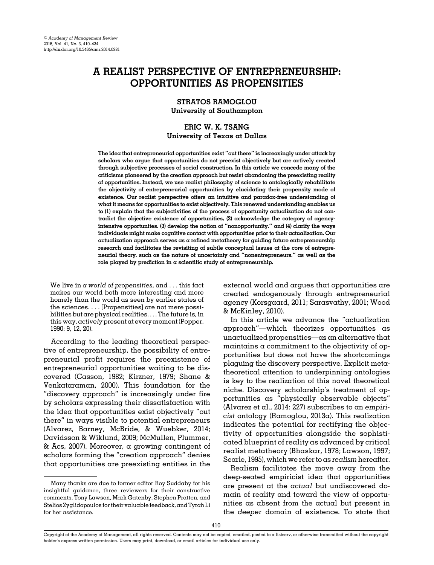# A REALIST PERSPECTIVE OF ENTREPRENEURSHIP: OPPORTUNITIES AS PROPENSITIES

STRATOS RAMOGLOU University of Southampton

# ERIC W. K. TSANG University of Texas at Dallas

The idea that entrepreneurial opportunities exist "out there" is increasingly under attack by scholars who argue that opportunities do not preexist objectively but are actively created through subjective processes of social construction. In this article we concede many of the criticisms pioneered by the creation approach but resist abandoning the preexisting reality of opportunities. Instead, we use realist philosophy of science to ontologically rehabilitate the objectivity of entrepreneurial opportunities by elucidating their propensity mode of existence. Our realist perspective offers an intuitive and paradox-free understanding of what it means for opportunities to exist objectively. This renewed understanding enables us to (1) explain that the subjectivities of the process of opportunity actualization do not contradict the objective existence of opportunities, (2) acknowledge the category of agencyintensive opportunites, (3) develop the notion of "nonopportunity," and (4) clarify the ways individuals might make cognitive contact with opportunities prior to their actualization. Our actualization approach serves as a refined metatheory for guiding future entrepreneurship research and facilitates the revisiting of subtle conceptual issues at the core of entrepreneurial theory, such as the nature of uncertainty and "nonentrepreneurs," as well as the role played by prediction in  $\alpha$  scientific study of entrepreneurship.

We live in  $\alpha$  world of propensities, and ... this fact makes our world both more interesting and more homely than the world as seen by earlier states of the sciences. . . . [Propensities] are not mere possibilities but are physical realities. . . . The future is, in this way, actively present at every moment [\(Popper,](#page-23-0) [1990:](#page-23-0) 9, 12, 20).

According to the leading theoretical perspective of entrepreneurship, the possibility of entrepreneurial profit requires the preexistence of entrepreneurial opportunities waiting to be discovered ([Casson, 1982](#page-21-0); [Kirzner, 1979;](#page-22-0) [Shane &](#page-24-0) [Venkataraman, 2000](#page-24-0)). This foundation for the "discovery approach" is increasingly under fire by scholars expressing their dissatisfaction with the idea that opportunities exist objectively "out there" in ways visible to potential entrepreneurs [\(Alvarez, Barney, McBride, & Wuebker, 2014;](#page-20-0) [Davidsson & Wiklund, 2009](#page-21-0); [McMullen, Plummer,](#page-23-0) & [Acs, 2007](#page-23-0)). Moreover, a growing contingent of scholars forming the "creation approach" denies that opportunities are preexisting entities in the external world and argues that opportunities are created endogenously through entrepreneurial agency [\(Korsgaard, 2011](#page-22-0); [Sarasvathy, 2001](#page-23-0); [Wood](#page-24-0) [& McKinley, 2010\)](#page-24-0).

In this article we advance the "actualization approach"—which theorizes opportunities as unactualized propensities—as an alternative that maintains a commitment to the objectivity of opportunities but does not have the shortcomings plaguing the discovery perspective. Explicit metatheoretical attention to underpinning ontologies is key to the realization of this novel theoretical niche. Discovery scholarship's treatment of opportunities as "physically observable objects" ([Alvarez et al., 2014](#page-20-0): 227) subscribes to an empiricist ontology ([Ramoglou, 2013a\)](#page-23-0). This realization indicates the potential for rectifying the objectivity of opportunities alongside the sophisticated blueprint of reality as advanced by critical realist metatheory ([Bhaskar, 1978](#page-21-0); [Lawson, 1997;](#page-22-0) [Searle, 1995](#page-23-0)), which we refer to as realism hereafter.

Realism facilitates the move away from the deep-seated empiricist idea that opportunities are present at the actual but undiscovered domain of reality and toward the view of opportunities as absent from the actual but present in the deeper domain of existence. To state that

Many thanks are due to former editor Roy Suddaby for his insightful guidance, three reviewers for their constructive comments, Tony Lawson, Mark Gatenby, Stephen Pratten, and Stelios Zyglidopoulos for their valuable feedback, and Tyrah Li for her assistance.

Copyright of the Academy of Management, all rights reserved. Contents may not be copied, emailed, posted to a listserv, or otherwise transmitted without the copyright holder's express written permission. Users may print, download, or email articles for individual use only.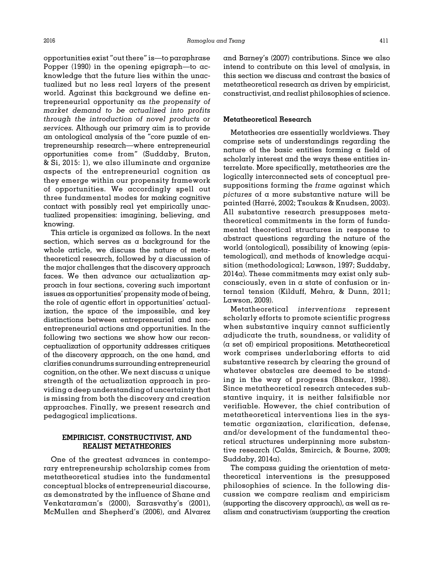opportunities exist "out there" is—to paraphrase [Popper \(1990\)](#page-23-0) in the opening epigraph—to acknowledge that the future lies within the unactualized but no less real layers of the present world. Against this background we define entrepreneurial opportunity as the propensity of market demand to be actualized into profits through the introduction of novel products or services. Although our primary aim is to provide an ontological analysis of the "core puzzle of entrepreneurship research—where entrepreneurial opportunities come from" ([Suddaby, Bruton,](#page-24-0) & [Si, 2015:](#page-24-0) 1), we also illuminate and organize aspects of the entrepreneurial cognition as they emerge within our propensity framework of opportunities. We accordingly spell out three fundamental modes for making cognitive contact with possibly real yet empirically unactualized propensities: imagining, believing, and knowing.

This article is organized as follows. In the next section, which serves as a background for the whole article, we discuss the nature of metatheoretical research, followed by a discussion of the major challenges that the discovery approach faces. We then advance our actualization approach in four sections, covering such important issues as opportunities' propensity mode of being, the role of agentic effort in opportunities' actualization, the space of the impossible, and key distinctions between entrepreneurial and nonentrepreneurial actions and opportunities. In the following two sections we show how our reconceptualization of opportunity addresses critiques of the discovery approach, on the one hand, and clarifies conundrums surrounding entrepreneurial cognition, on the other. We next discuss  $\alpha$  unique strength of the actualization approach in providing a deep understanding of uncertainty that is missing from both the discovery and creation approaches. Finally, we present research and pedagogical implications.

# EMPIRICIST, CONSTRUCTIVIST, AND REALIST METATHEORIES

One of the greatest advances in contemporary entrepreneurship scholarship comes from metatheoretical studies into the fundamental conceptual blocks of entrepreneurial discourse, as demonstrated by the influence of [Shane and](#page-24-0) [Venkataraman](#page-24-0)'s (2000), [Sarasvathy](#page-23-0)'s (2001), [McMullen and Shepherd](#page-23-0)'s (2006), and [Alvarez](#page-20-0) [and Barney](#page-20-0)'s (2007) contributions. Since we also intend to contribute on this level of analysis, in this section we discuss and contrast the basics of metatheoretical research as driven by empiricist, constructivist, and realist philosophies of science.

## Metatheoretical Research

Metatheories are essentially worldviews. They comprise sets of understandings regarding the nature of the basic entities forming  $\alpha$  field of scholarly interest and the ways these entities interrelate. More specifically, metatheories are the logically interconnected sets of conceptual presuppositions forming the frame against which pictures of a more substantive nature will be painted (Harré, 2002; [Tsoukas](#page-24-0) & [Knudsen, 2003\)](#page-24-0). All substantive research presupposes metatheoretical commitments in the form of fundamental theoretical structures in response to abstract questions regarding the nature of the world (ontological), possibility of knowing (epistemological), and methods of knowledge acquisition (methodological; [Lawson, 1997](#page-22-0); [Suddaby,](#page-24-0)  $2014\alpha$ ). These commitments may exist only subconsciously, even in a state of confusion or internal tension [\(Kilduff, Mehra,](#page-22-0) & [Dunn, 2011;](#page-22-0) [Lawson, 2009\)](#page-22-0).

Metatheoretical interventions represent scholarly efforts to promote scientific progress when substantive inquiry cannot sufficiently adjudicate the truth, soundness, or validity of (a set of) empirical propositions. Metatheoretical work comprises underlaboring efforts to aid substantive research by clearing the ground of whatever obstacles are deemed to be standing in the way of progress ([Bhaskar, 1998\)](#page-21-0). Since metatheoretical research antecedes substantive inquiry, it is neither falsifiable nor verifiable. However, the chief contribution of metatheoretical interventions lies in the systematic organization, clarification, defense, and/or development of the fundamental theoretical structures underpinning more substantive research (Calás, Smircich, & Bourne, 2009; Suddaby,  $2014\alpha$ ).

The compass guiding the orientation of metatheoretical interventions is the presupposed philosophies of science. In the following discussion we compare realism and empiricism (supporting the discovery approach), as well as realism and constructivism (supporting the creation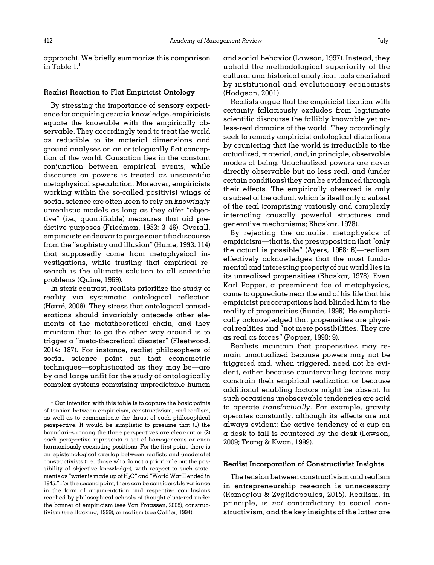approach). We briefly summarize this comparison in Table  $l<sup>1</sup>$ 

#### Realist Reaction to Flat Empiricist Ontology

By stressing the importance of sensory experience for acquiring certain knowledge, empiricists equate the knowable with the empirically observable. They accordingly tend to treat the world as reducible to its material dimensions and ground analyses on an ontologically flat conception of the world. Causation lies in the constant conjunction between empirical events, while discourse on powers is treated as unscientific metaphysical speculation. Moreover, empiricists working within the so-called positivist wings of social science are often keen to rely on knowingly unrealistic models as long as they offer "objective" (i.e., quantifiable) measures that aid predictive purposes ([Friedman, 1953](#page-21-0): 3–46). Overall, empiricists endeavor to purge scientific discourse from the "sophistry and illusion" ([Hume, 1993:](#page-22-0) 114) that supposedly come from metaphysical investigations, while trusting that empirical research is the ultimate solution to all scientific problems ([Quine, 1969\)](#page-23-0).

In stark contrast, realists prioritize the study of reality via systematic ontological reflection [\(Harr](#page-22-0)é[, 2008\)](#page-22-0). They stress that ontological considerations should invariably antecede other elements of the metatheoretical chain, and they maintain that to go the other way around is to trigger a "meta-theoretical disaster" ([Fleetwood,](#page-21-0) [2014:](#page-21-0) 187). For instance, realist philosophers of social science point out that econometric techniques—sophisticated as they may be—are by and large unfit for the study of ontologically complex systems comprising unpredictable human and social behavior [\(Lawson, 1997\)](#page-22-0). Instead, they uphold the methodological superiority of the cultural and historical analytical tools cherished by institutional and evolutionary economists ([Hodgson, 2001](#page-22-0)).

Realists argue that the empiricist fixation with certainty fallaciously excludes from legitimate scientific discourse the fallibly knowable yet noless-real domains of the world. They accordingly seek to remedy empiricist ontological distortions by countering that the world is irreducible to the actualized, material, and, in principle, observable modes of being. Unactualized powers are never directly observable but no less real, and (under certain conditions) they can be evidenced through their effects. The empirically observed is only  $\alpha$  subset of the actual, which is itself only  $\alpha$  subset of the real (comprising variously and complexly interacting causally powerful structures and generative mechanisms; [Bhaskar, 1978\)](#page-21-0).

By rejecting the actualist metaphysics of empiricism—that is, the presupposition that "only the actual is possible" ([Ayers, 1968](#page-20-0): 6)—realism effectively acknowledges that the most fundamental and interesting property of our world lies in its unrealized propensities [\(Bhaskar, 1978\)](#page-21-0). Even Karl Popper, a preeminent foe of metaphysics, came to appreciate near the end of his life that his empiricist preoccupations had blinded him to the reality of propensities ([Runde, 1996](#page-23-0)). He emphatically acknowledged that propensities are physical realities and "not mere possibilities. They are as real as forces" ([Popper, 1990:](#page-23-0) 9).

Realists maintain that propensities may remain unactualized because powers may not be triggered and, when triggered, need not be evident, either because countervailing factors may constrain their empirical realization or because additional enabling factors might be absent. In such occasions unobservable tendencies are said to operate transfactually. For example, gravity operates constantly, although its effects are not always evident: the active tendency of a cup on a desk to fall is countered by the desk [\(Lawson,](#page-22-0) [2009;](#page-22-0) [Tsang](#page-24-0) & [Kwan, 1999](#page-24-0)).

#### Realist Incorporation of Constructivist Insights

The tension between constructivism and realism in entrepreneurship research is unnecessary ([Ramoglou](#page-23-0) [& Zyglidopoulos, 2015](#page-23-0)). Realism, in principle, is not contradictory to social constructivism, and the key insights of the latter are

 $1$  Our intention with this table is to capture the basic points of tension between empiricism, constructivism, and realism, as well as to communicate the thrust of each philosophical perspective. It would be simplistic to presume that (1) the boundaries among the three perspectives are clear-cut or (2) each perspective represents a set of homogeneous or even harmoniously coexisting positions. For the first point, there is an epistemological overlap between realists and (moderate) constructivists (i.e., those who do not  $\alpha$  priori rule out the possibility of objective knowledge), with respect to such statements as "water is made up of  $H_2O''$  and "World War II ended in 1945." For the second point, there can be considerable variance in the form of argumentation and respective conclusions reached by philosophical schools of thought clustered under the banner of empiricism (see [Van Fraassen, 2008](#page-24-0)), constructivism (see [Hacking, 1999\)](#page-22-0), or realism (see [Collier, 1994](#page-21-0)).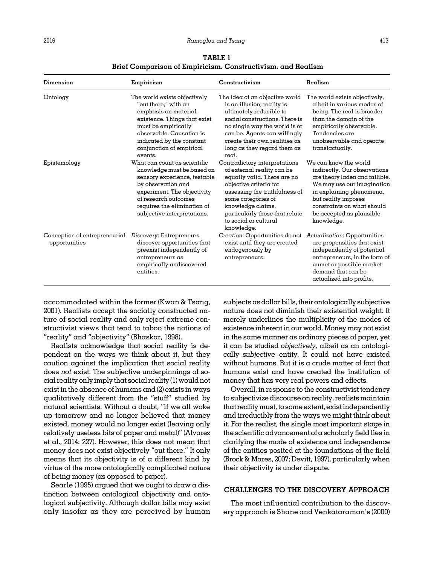#### <span id="page-3-0"></span>2016 Ramoglou and Tsang 413

| Dimension                                      | Empiricism                                                                                                                                                                                                                            | Constructivism                                                                                                                                                                                                                                                            | Realism                                                                                                                                                                                                                                          |
|------------------------------------------------|---------------------------------------------------------------------------------------------------------------------------------------------------------------------------------------------------------------------------------------|---------------------------------------------------------------------------------------------------------------------------------------------------------------------------------------------------------------------------------------------------------------------------|--------------------------------------------------------------------------------------------------------------------------------------------------------------------------------------------------------------------------------------------------|
| Ontology                                       | The world exists objectively<br>"out there." with $an$<br>emphasis on material<br>existence. Things that exist<br>must be empirically<br>observable. Causation is<br>indicated by the constant<br>conjunction of empirical<br>events. | The idea of an objective world<br>is an illusion; reality is<br>ultimately reducible to<br>social constructions. There is<br>no single way the world is or<br>can be. Agents can willingly<br>create their own realities as<br>$\log a$ as they regard them as<br>real.   | The world exists objectively,<br>albeit in various modes of<br>being. The real is broader<br>than the domain of the<br>empirically observable.<br>Tendencies are<br>unobservable and operate<br>transfactually.                                  |
| Epistemology                                   | What can count as scientific<br>knowledge must be based on<br>sensory experience, testable<br>by observation and<br>experiment. The objectivity<br>of research outcomes<br>requires the elimination of<br>subjective interpretations. | Contradictory interpretations<br>of external reality can be<br>equally valid. There are no<br>objective criteria for<br>assessing the truthfulness of<br>some categories of<br>knowledge claims,<br>particularly those that relate<br>to social or cultural<br>knowledge. | We can know the world<br>indirectly. Our observations<br>are theory laden and fallible.<br>We may use our imagination<br>in explaining phenomena,<br>but reality imposes<br>constraints on what should<br>be accepted as plausible<br>knowledge. |
| Conception of entrepreneurial<br>opportunities | Discovery: Entrepreneurs<br>discover opportunities that<br>preexist independently of<br>entrepreneurs as<br>empirically undiscovered<br>entities.                                                                                     | Creation: Opportunities do not<br>exist until they are created<br>endogenously by<br>entrepreneurs.                                                                                                                                                                       | Actualization: Opportunities<br>are propensities that exist<br>independently of potential<br>entrepreneurs, in the form of<br>unmet or possible market<br>demand that can be<br>actualized into profits.                                         |

TABLE 1 Brief Comparison of Empiricism, Constructivism, and Realism

accommodated within the former ([Kwan & Tsang,](#page-22-0) [2001](#page-22-0)). Realists accept the socially constructed nature of social reality and only reject extreme constructivist views that tend to taboo the notions of "reality" and "objectivity" [\(Bhaskar, 1998](#page-21-0)).

Realists acknowledge that social reality is dependent on the ways we think about it, but they caution against the implication that social reality does not exist. The subjective underpinnings of social reality only imply that social reality(1)would not exist in the absence of humans and (2) exists in ways qualitatively different from the "stuff" studied by natural scientists. Without  $\alpha$  doubt, "if we all woke up tomorrow and no longer believed that money existed, money would no longer exist (leaving only relatively useless bits of paper and metal)" [\(Alvarez](#page-20-0) [et al., 2014:](#page-20-0) 227). However, this does not mean that money does not exist objectively "out there." It only means that its objectivity is of  $\alpha$  different kind by virtue of the more ontologically complicated nature of being money (as opposed to paper).

[Searle \(1995\)](#page-23-0) argued that we ought to draw a distinction between ontological objectivity and ontological subjectivity. Although dollar bills may exist only insofar as they are perceived by human subjects as dollar bills, their ontologically subjective nature does not diminish their existential weight. It merely underlines the multiplicity of the modes of existence inherent in our world. Money may not exist in the same manner as ordinary pieces of paper, yet it can be studied objectively, albeit as an ontologically subjective entity. It could not have existed without humans. But it is a crude matter of fact that humans exist and have created the institution of money that has very real powers and effects.

Overall, in response to the constructivist tendency to subjectivize discourse on reality, realistsmaintain that realitymust, to some extent, exist independently and irreducibly from the ways we might think about it. For the realist, the single most important stage in the scientific advancement of a scholarly field lies in clarifying the mode of existence and independence of the entities posited at the foundations of the field [\(Brock & Mares, 2007](#page-21-0); [Devitt,](#page-21-0) 1997), particularly when their objectivity is under dispute.

## CHALLENGES TO THE DISCOVERY APPROACH

The most influential contribution to the discovery approach is [Shane and Venkataraman](#page-24-0)'s (2000)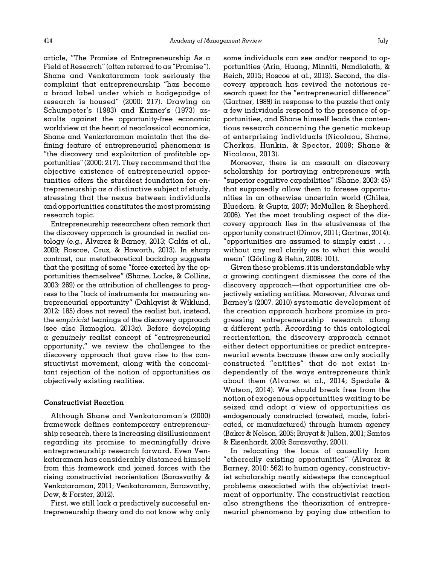article, "The Promise of Entrepreneurship As a Field of Research" (often referred to as "Promise"). Shane and Venkataraman took seriously the complaint that entrepreneurship "has become a broad label under which a hodgepodge of research is housed" (2000: 217). Drawing on [Schumpeter](#page-23-0)'s (1983) and Kirzner'[s \(1973\)](#page-22-0) assaults against the opportunity-free economic worldview at the heart of neoclassical economics, Shane and Venkataraman maintain that the defining feature of entrepreneurial phenomena is "the discovery and exploitation of profitable opportunities" (2000: 217). They recommend that the objective existence of entrepreneurial opportunities offers the sturdiest foundation for entrepreneurship as a distinctive subject of study, stressing that the nexus between individuals and opportunities constitutes the most promising research topic.

Entrepreneurship researchers often remark that the discovery approach is grounded in realist on-tology (e.g., [Alvarez & Barney, 2013](#page-20-0); Calás et al., [2009](#page-21-0); [Roscoe, Cruz,](#page-23-0) [& Howorth, 2013](#page-23-0)). In sharp contrast, our metatheoretical backdrop suggests that the positing of some "force exerted by the opportunities themselves" [\(Shane, Locke, & Collins,](#page-23-0) [2003](#page-23-0): 269) or the attribution of challenges to progress to the "lack of instruments for measuring entrepreneurial opportunity" [\(Dahlqvist & Wiklund,](#page-21-0) [2012](#page-21-0): 185) does not reveal the realist but, instead, the empiricist leanings of the discovery approach (see also [Ramoglou, 2013a](#page-23-0)). Before developing a genuinely realist concept of "entrepreneurial opportunity," we review the challenges to the discovery approach that gave rise to the constructivist movement, along with the concomitant rejection of the notion of opportunities as objectively existing realities.

## Constructivist Reaction

Although [Shane and Venkataraman](#page-24-0)'s (2000) framework defines contemporary entrepreneurship research, there is increasing disillusionment regarding its promise to meaningfully drive entrepreneurship research forward. Even Venkataraman has considerably distanced himself from this framework and joined forces with the rising constructivist reorientation [\(Sarasvathy &](#page-23-0) [Venkataraman, 2011;](#page-23-0) [Venkataraman, Sarasvathy,](#page-24-0) [Dew,](#page-24-0) [& Forster, 2012\)](#page-24-0).

First, we still lack a predictively successful entrepreneurship theory and do not know why only some individuals can see and/or respond to opportunities [\(Arin, Huang, Minniti, Nandialath,](#page-20-0) & [Reich, 2015](#page-20-0); [Roscoe et al., 2013](#page-23-0)). Second, the discovery approach has revived the notorious research quest for the "entrepreneurial difference" ([Gartner, 1989](#page-21-0)) in response to the puzzle that only a few individuals respond to the presence of opportunities, and Shane himself leads the contentious research concerning the genetic makeup of enterprising individuals ([Nicolaou, Shane,](#page-23-0) [Cherkas, Hunkin,](#page-23-0) [& Spector, 2008](#page-23-0); [Shane](#page-24-0) & [Nicolaou, 2013](#page-24-0)).

Moreover, there is an assault on discovery scholarship for portraying entrepreneurs with "superior cognitive capabilities" [\(Shane, 2003:](#page-23-0) 45) that supposedly allow them to foresee opportunities in an otherwise uncertain world [\(Chiles,](#page-21-0) [Bluedorn,](#page-21-0) [& Gupta, 2007](#page-21-0); [McMullen](#page-23-0) [& Shepherd,](#page-23-0) [2006\)](#page-23-0). Yet the most troubling aspect of the discovery approach lies in the elusiveness of the opportunity construct [\(Dimov, 2011; Gartner, 2014\)](#page-21-0): "opportunities are assumed to simply exist . . . without any real clarity as to what this would meαn" ([G](#page-22-0)ö[rling & Rehn, 2008](#page-22-0): 101).

Given these problems, it is understandable why a growing contingent dismisses the core of the discovery approach—that opportunities are objectively existing entities. Moreover, [Alvarez and](#page-20-0) [Barney](#page-20-0)'s (2007, [2010](#page-20-0)) systematic development of the creation approach harbors promise in progressing entrepreneurship research along a different path. According to this ontological reorientation, the discovery approach cannot either detect opportunities or predict entrepreneurial events because these are only socially constructed "entities" that do not exist independently of the ways entrepreneurs think about them ([Alvarez et al., 2014;](#page-20-0) [Spedale &](#page-24-0) [Watson, 2014\)](#page-24-0). We should break free from the notion of exogenous opportunities waiting to be seized and adopt a view of opportunities as endogenously constructed (created, made, fabricated, or manufactured) through human agency ([Baker](#page-20-0) [& Nelson, 2005](#page-20-0); [Bruyat & Julien, 2001](#page-21-0); [Santos](#page-23-0) [& Eisenhardt, 2009](#page-23-0); [Sarasvathy, 2001\)](#page-23-0).

In relocating the locus of causality from "ethereally existing opportunities" [\(Alvarez](#page-20-0) & [Barney, 2010](#page-20-0): 562) to human agency, constructivist scholarship neatly sidesteps the conceptual problems associated with the objectivist treatment of opportunity. The constructivist reaction also strengthens the theorization of entrepreneurial phenomena by paying due attention to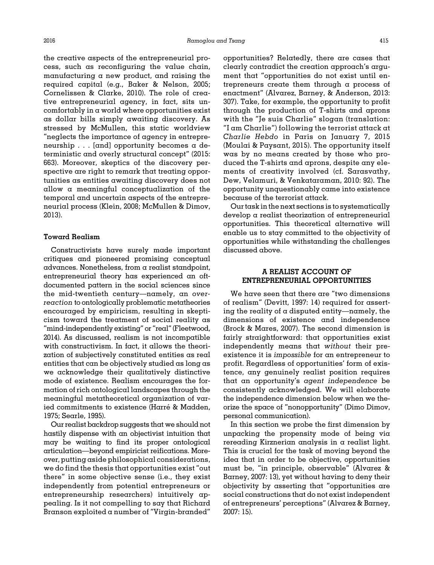the creative aspects of the entrepreneurial process, such as reconfiguring the value chain, manufacturing a new product, and raising the required capital (e.g., [Baker](#page-20-0) & [Nelson, 2005;](#page-20-0) [Cornelissen](#page-21-0) [& Clarke, 2010](#page-21-0)). The role of creative entrepreneurial agency, in fact, sits uncomfortably in a world where opportunities exist as dollar bills simply awaiting discovery. As stressed by McMullen, this static worldview "neglects the importance of agency in entrepreneurship . . . [and] opportunity becomes a deterministic and overly structural concept" (2015: 663). Moreover, skeptics of the discovery perspective are right to remark that treating opportunities as entities awaiting discovery does not allow a meaningful conceptualization of the temporal and uncertain aspects of the entrepreneurial process ([Klein, 2008;](#page-22-0) [McMullen & Dimov,](#page-23-0) [2013](#page-23-0)).

## Toward Realism

Constructivists have surely made important critiques and pioneered promising conceptual advances. Nonetheless, from a realist standpoint, entrepreneurial theory has experienced an oftdocumented pattern in the social sciences since the mid-twentieth century—namely, an overreaction to ontologically problematic metatheories encouraged by empiricism, resulting in skepticism toward the treatment of social reality as "mind-independently existing" or "real" [\(Fleetwood,](#page-21-0) [2014\)](#page-21-0). As discussed, realism is not incompatible with constructivism. In fact, it allows the theorization of subjectively constituted entities as real entities that can be objectively studied as long as we acknowledge their qualitatively distinctive mode of existence. Realism encourages the formation of rich ontological landscapes through the meaningful metatheoretical organization of varied commitments to existence (Harré & Madden, [1975;](#page-22-0) [Searle, 1995\)](#page-23-0).

Our realist backdrop suggests that we should not hastily dispense with an objectivist intuition that may be waiting to find its proper ontological articulation—beyond empiricist reifications. Moreover, putting aside philosophical considerations, we do find the thesis that opportunities exist "out there" in some objective sense (i.e., they exist independently from potential entrepreneurs or entrepreneurship researchers) intuitively appealing. Is it not compelling to say that Richard Branson exploited a number of "Virgin-branded"

opportunities? Relatedly, there are cases that clearly contradict the creation approach's argument that "opportunities do not exist until entrepreneurs create them through a process of enactment" ([Alvarez, Barney, & Anderson, 2013:](#page-20-0) 307). Take, for example, the opportunity to profit through the production of T-shirts and aprons with the "Je suis Charlie" slogan (translation: "I am Charlie") following the terrorist attack at Charlie Hebdo in Paris on January 7, 2015 ([Moulai & Paysant, 2015](#page-23-0)). The opportunity itself was by no means created by those who produced the T-shirts and aprons, despite any elements of creativity involved (cf. [Sarasvathy,](#page-23-0) [Dew, Velamuri,](#page-23-0) & [Venkataraman, 2010:](#page-23-0) 92). The opportunity unquestionably came into existence because of the terrorist attack.

Our task in the next sections is to systematically develop a realist theorization of entrepreneurial opportunities. This theoretical alternative will enable us to stay committed to the objectivity of opportunities while withstanding the challenges discussed above.

# A REALIST ACCOUNT OF ENTREPRENEURIAL OPPORTUNITIES

We have seen that there are "two dimensions of realism" ([Devitt, 1997:](#page-21-0) 14) required for asserting the reality of a disputed entity—namely, the dimensions of existence and independence ([Brock](#page-21-0) & [Mares, 2007](#page-21-0)). The second dimension is fairly straightforward: that opportunities exist independently means that without their preexistence it is impossible for an entrepreneur to profit. Regardless of opportunities' form of existence, any genuinely realist position requires that an opportunity's agent independence be consistently acknowledged. We will elaborate the independence dimension below when we theorize the space of "nonopportunity" (Dimo Dimov, personal communication).

In this section we probe the first dimension by unpacking the propensity mode of being via rereading Kirznerian analysis in a realist light. This is crucial for the task of moving beyond the idea that in order to be objective, opportunities must be, "in principle, observable" [\(Alvarez](#page-20-0) & [Barney, 2007:](#page-20-0) 13), yet without having to deny their objectivity by asserting that "opportunities are social constructions that do not exist independent of entrepreneurs' perceptions" [\(Alvarez](#page-20-0) & [Barney,](#page-20-0) [2007:](#page-20-0) 15).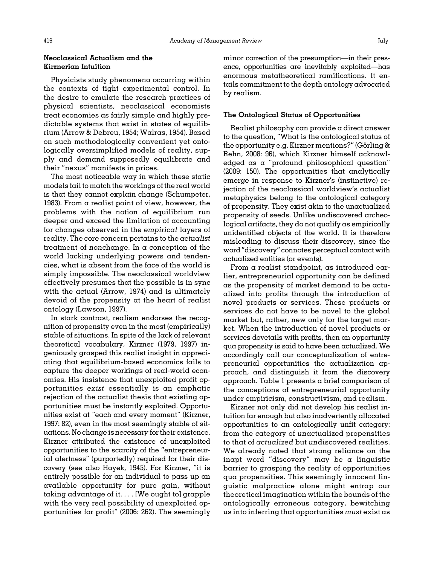# Neoclassical Actualism and the Kirznerian Intuition

Physicists study phenomena occurring within the contexts of tight experimental control. In the desire to emulate the research practices of physical scientists, neoclassical economists treat economies as fairly simple and highly predictable systems that exist in states of equilibrium ([Arrow](#page-20-0) [& Debreu, 1954](#page-20-0); [Walras, 1954\)](#page-24-0). Based on such methodologically convenient yet ontologically oversimplified models of reality, supply and demand supposedly equilibrate and their "nexus" manifests in prices.

The most noticeable way in which these static models fail to match the workings of the real world is that they cannot explain change ([Schumpeter,](#page-23-0) [1983\)](#page-23-0). From a realist point of view, however, the problems with the notion of equilibrium run deeper and exceed the limitation of accounting for changes observed in the empirical layers of reality. The core concern pertains to the actualist treatment of nonchange. In a conception of the world lacking underlying powers and tendencies, what is absent from the face of the world is simply impossible. The neoclassical worldview effectively presumes that the possible is in sync with the actual ([Arrow, 1974](#page-20-0)) and is ultimately devoid of the propensity at the heart of realist ontology [\(Lawson, 1997\)](#page-22-0).

In stark contrast, realism endorses the recognition of propensity even in the most (empirically) stable of situations. In spite of the lack of relevant theoretical vocabulary, [Kirzner \(1979, 1997](#page-22-0)) ingeniously grasped this realist insight in appreciating that equilibrium-based economics fails to capture the deeper workings of real-world economies. His insistence that unexploited profit opportunities exist essentially is an emphatic rejection of the actualist thesis that existing opportunities must be instantly exploited. Opportunities exist at "each and every moment" ([Kirzner,](#page-22-0) [1997](#page-22-0): 82), even in the most seemingly stable of situations. No change is necessary for their existence. Kirzner attributed the existence of unexploited opportunities to the scarcity of the "entrepreneurial alertness" (purportedly) required for their discovery (see also [Hayek, 1945\)](#page-22-0). For Kirzner, "it is entirely possible for an individual to pass up an available opportunity for pure gain, without taking advantage of it. . . . [We ought to] grapple with the very real possibility of unexploited opportunities for profit" (2006: 262). The seemingly minor correction of the presumption—in their presence, opportunities are inevitably exploited—has enormous metatheoretical ramifications. It entails commitment to the depth ontology advocated by realism.

#### The Ontological Status of Opportunities

Realist philosophy can provide a direct answer to the question, "What is the ontological status of the opportunity e.g. Kirzner mentions?" [\(G](#page-22-0)ö[rling](#page-22-0) & [Rehn, 2008:](#page-22-0) 96), which Kirzner himself acknowledged as a "profound philosophical question" (2009: 150). The opportunities that analytically emerge in response to Kirzner's (instinctive) rejection of the neoclassical worldview's actualist metaphysics belong to the ontological category of propensity. They exist akin to the unactualized propensity of seeds. Unlike undiscovered archeological artifacts, they do not qualify as empirically unidentified objects of the world. It is therefore misleading to discuss their discovery, since the word"discovery" connotes perceptual contact with actualized entities (or events).

From a realist standpoint, as introduced earlier, entrepreneurial opportunity can be defined as the propensity of market demand to be actualized into profits through the introduction of novel products or services. These products or services do not have to be novel to the global market but, rather, new only for the target market. When the introduction of novel products or services dovetails with profits, then an opportunity qua propensity is said to have been actualized. We accordingly call our conceptualization of entrepreneurial opportunities the actualization approach, and distinguish it from the discovery approach. [Table 1](#page-3-0) presents a brief comparison of the conceptions of entrepreneurial opportunity under empiricism, constructivism, and realism.

Kirzner not only did not develop his realist intuition far enough but also inadvertently allocated opportunities to an ontologically unfit category: from the category of unactualized propensities to that of actualized but undiscovered realities. We already noted that strong reliance on the inapt word "discovery" may be a linguistic barrier to grasping the reality of opportunities qua propensities. This seemingly innocent linguistic malpractice alone might entrap our theoretical imagination within the bounds of the ontologically erroneous category, bewitching us into inferring that opportunities must exist as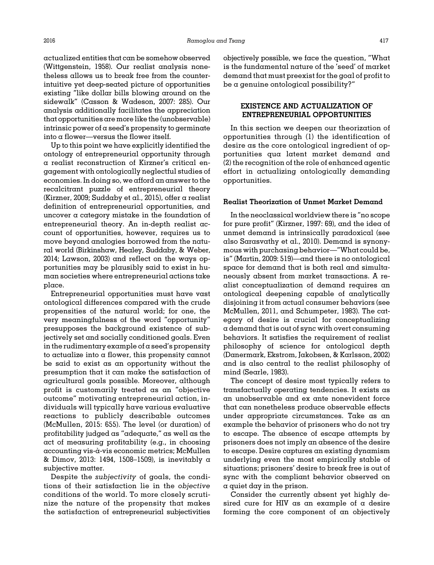actualized entities that can be somehow observed [\(Wittgenstein, 1958](#page-24-0)). Our realist analysis nonetheless allows us to break free from the counterintuitive yet deep-seated picture of opportunities existing "like dollar bills blowing around on the sidewalk" [\(Casson](#page-21-0) [& Wadeson, 2007](#page-21-0): 285). Our analysis additionally facilitates the appreciation that opportunities are more like the (unobservable) intrinsic power of a seed's propensity to germinate into  $\alpha$  flower—versus the flower itself.

Up to this point we have explicitly identified the ontology of entrepreneurial opportunity through a realist reconstruction of Kirzner's critical engagement with ontologically neglectful studies of economies. In doing so, we afford an answer to the recalcitrant puzzle of entrepreneurial theory [\(Kirzner, 2009;](#page-22-0) [Suddaby et al., 2015\)](#page-24-0), offer a realist definition of entrepreneurial opportunities, and uncover a category mistake in the foundation of entrepreneurial theory. An in-depth realist account of opportunities, however, requires us to move beyond analogies borrowed from the natural world ([Birkinshaw, Healey, Suddaby, & Weber,](#page-21-0) [2014;](#page-21-0) [Lawson, 2003\)](#page-22-0) and reflect on the ways opportunities may be plausibly said to exist in human societies where entrepreneurial actions take place.

Entrepreneurial opportunities must have vast ontological differences compared with the crude propensities of the natural world; for one, the very meaningfulness of the word "opportunity" presupposes the background existence of subjectively set and socially conditioned goals. Even in the rudimentary example of  $\alpha$  seed's propensity to actualize into a flower, this propensity cannot be said to exist as an opportunity without the presumption that it can make the satisfaction of agricultural goals possible. Moreover, although profit is customarily treated as an "objective outcome" motivating entrepreneurial action, individuals will typically have various evaluative reactions to publicly describable outcomes ([McMullen, 2015](#page-22-0): 655). The level (or duration) of profitability judged as "adequate," as well as the act of measuring profitability (e.g., in choosing accounting vis-a-vis economic metrics; [McMullen](#page-23-0) ` & [Dimov, 2013:](#page-23-0) 1494, 1508–1509), is inevitably a subjective matter.

Despite the subjectivity of goals, the conditions of their satisfaction lie in the objective conditions of the world. To more closely scrutinize the nature of the propensity that makes the satisfaction of entrepreneurial subjectivities

objectively possible, we face the question, "What is the fundamental nature of the 'seed' of market demand that must preexist for the goal of profit to be a genuine ontological possibility?"

# EXISTENCE AND ACTUALIZATION OF ENTREPRENEURIAL OPPORTUNITIES

In this section we deepen our theorization of opportunities through (1) the identification of desire as the core ontological ingredient of opportunities qua latent market demand and (2) the recognition of the role of enhanced agentic effort in actualizing ontologically demanding opportunities.

## Realist Theorization of Unmet Market Demand

In the neoclassical worldview there is "no scope for pure profit" ([Kirzner, 1997:](#page-22-0) 69), and the idea of unmet demand is intrinsically paradoxical (see also [Sarasvathy et al., 2010\)](#page-23-0). Demand is synonymous with purchasing behavior—"What could be, is" [\(Martin, 2009](#page-22-0): 519)—and there is no ontological space for demand that is both real and simultaneously absent from market transactions. A realist conceptualization of demand requires an ontological deepening capable of analytically disjoining it from actual consumer behaviors (see [McMullen, 2011](#page-22-0), and [Schumpeter, 1983](#page-23-0)). The category of desire is crucial for conceptualizing a demand that is out of sync with overt consuming behaviors. It satisfies the requirement of realist philosophy of science for ontological depth ([Danermark, Ekstrom, Jakobsen,](#page-21-0) [& Karlsson, 2002](#page-21-0)) and is also central to the realist philosophy of mind [\(Searle, 1983](#page-23-0)).

The concept of desire most typically refers to transfactually operating tendencies. It exists as an unobservable and ex ante nonevident force that can nonetheless produce observable effects under appropriate circumstances. Take as an example the behavior of prisoners who do not try to escape. The absence of escape attempts by prisoners does not imply an absence of the desire to escape. Desire captures an existing dynamism underlying even the most empirically stable of situations; prisoners' desire to break free is out of sync with the compliant behavior observed on a quiet day in the prison.

Consider the currently absent yet highly desired cure for HIV as an example of a desire forming the core component of an objectively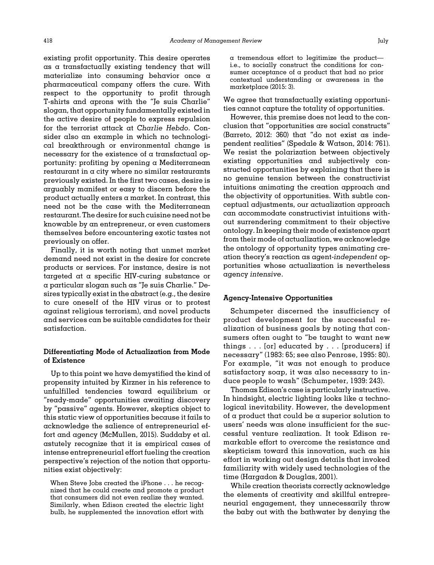existing profit opportunity. This desire operates as a transfactually existing tendency that will materialize into consuming behavior once a pharmaceutical company offers the cure. With respect to the opportunity to profit through T-shirts and aprons with the "Je suis Charlie" slogan, that opportunity fundamentally existed in the active desire of people to express repulsion for the terrorist attack at Charlie Hebdo. Consider also an example in which no technological breakthrough or environmental change is necessary for the existence of a transfactual opportunity: profiting by opening a Mediterranean restaurant in a city where no similar restaurants previously existed. In the first two cases, desire is arguably manifest or easy to discern before the product actually enters a market. In contrast, this need not be the case with the Mediterranean restaurant. The desire for such cuisine need not be knowable by an entrepreneur, or even customers themselves before encountering exotic tastes not previously on offer.

Finally, it is worth noting that unmet market demand need not exist in the desire for concrete products or services. For instance, desire is not targeted at a specific HIV-curing substance or a particular slogan such as "Je suis Charlie." Desires typically exist in the abstract (e.g., the desire to cure oneself of the HIV virus or to protest against religious terrorism), and novel products and services can be suitable candidates for their satisfaction.

# Differentiating Mode of Actualization from Mode of Existence

Up to this point we have demystified the kind of propensity intuited by Kirzner in his reference to unfulfilled tendencies toward equilibrium or "ready-made" opportunities awaiting discovery by "passive" agents. However, skeptics object to this static view of opportunities because it fails to acknowledge the salience of entrepreneurial effort and agency [\(McMullen, 2015\)](#page-22-0). Suddaby et al. astutely recognize that it is empirical cases of intense entrepreneurial effort fueling the creation perspective's rejection of the notion that opportunities exist objectively:

When Steve Jobs created the iPhone . . . he recognized that he could create and promote a product that consumers did not even realize they wanted. Similarly, when Edison created the electric light bulb, he supplemented the innovation effort with

a tremendous effort to legitimize the product i.e., to socially construct the conditions for consumer acceptance of a product that had no prior contextual understanding or awareness in the marketplace (2015: 3).

We agree that transfactually existing opportunities cannot capture the totality of opportunities.

However, this premise does not lead to the conclusion that "opportunities are social constructs" ([Barreto, 2012](#page-21-0): 360) that "do not exist as independent realities" ([Spedale](#page-24-0) [& Watson, 2014](#page-24-0): 761). We resist the polarization between objectively existing opportunities and subjectively constructed opportunities by explaining that there is no genuine tension between the constructivist intuitions animating the creation approach and the objectivity of opportunities. With subtle conceptual adjustments, our actualization approach can accommodate constructivist intuitions without surrendering commitment to their objective ontology. In keeping their mode of existence apart from their mode of actualization, we acknowledge the ontology of opportunity types animating creation theory's reaction as agent-independent opportunities whose actualization is nevertheless agency intensive.

## Agency-Intensive Opportunities

Schumpeter discerned the insufficiency of product development for the successful realization of business goals by noting that consumers often ought to "be taught to want new things . . . [or] educated by . . . [producers] if necessary" (1983: 65; see also [Penrose, 1995](#page-23-0): 80). For example, "it was not enough to produce satisfactory soap, it was also necessary to induce people to wash" ([Schumpeter, 1939:](#page-23-0) 243).

Thomas Edison's case is particularly instructive. In hindsight, electric lighting looks like  $\alpha$  technological inevitability. However, the development of  $\alpha$  product that could be  $\alpha$  superior solution to users' needs was alone insufficient for the successful venture realization. It took Edison remarkable effort to overcome the resistance and skepticism toward this innovation, such as his effort in working out design details that invoked familiarity with widely used technologies of the time [\(Hargadon](#page-22-0) & [Douglas, 2001](#page-22-0)).

While creation theorists correctly acknowledge the elements of creativity and skillful entrepreneurial engagement, they unnecessarily throw the baby out with the bathwater by denying the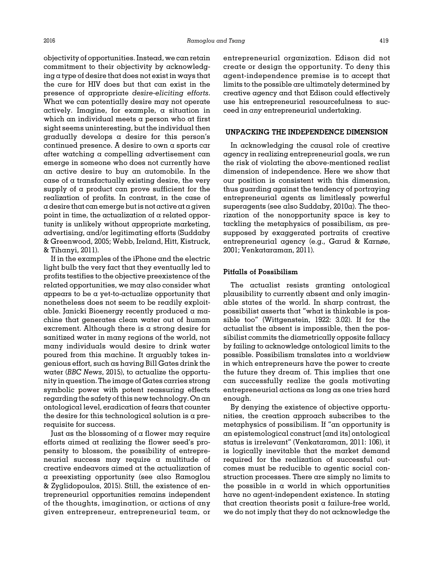objectivity of opportunities. Instead, we can retain commitment to their objectivity by acknowledging a type of desire that does not exist in ways that the cure for HIV does but that can exist in the presence of appropriate desire-eliciting efforts. What we can potentially desire may not operate actively. Imagine, for example, a situation in which an individual meets a person who at first sight seems uninteresting, but the individual then gradually develops a desire for this person's continued presence. A desire to own a sports car after watching a compelling advertisement can emerge in someone who does not currently have an active desire to buy an automobile. In the case of a transfactually existing desire, the very supply of a product can prove sufficient for the realization of profits. In contrast, in the case of  $\alpha$  desire that can emerge but is not active at a given point in time, the actualization of a related opportunity is unlikely without appropriate marketing, advertising, and/or legitimating efforts [\(Suddaby](#page-24-0)

& [Tihanyi, 2011\)](#page-24-0). If in the examples of the iPhone and the electric light bulb the very fact that they eventually led to profits testifies to the objective preexistence of the related opportunities, we may also consider what appears to be a yet-to-actualize opportunity that nonetheless does not seem to be readily exploitable. Janicki Bioenergy recently produced a machine that generates clean water out of human excrement. Although there is  $\alpha$  strong desire for sanitized water in many regions of the world, not many individuals would desire to drink water poured from this machine. It arguably takes ingenious effort, such as having Bill Gates drink the water ([BBC News](#page-21-0), 2015), to actualize the opportunity in question. The image of Gates carries strong symbolic power with potent reassuring effects regarding the safety of this new technology. On an ontological level, eradication of fears that counter the desire for this technological solution is a prerequisite for success.

& [Greenwood, 2005; Webb, Ireland, Hitt, Kistruck,](#page-24-0)

Just as the blossoming of  $\alpha$  flower may require efforts aimed at realizing the flower seed's propensity to blossom, the possibility of entrepreneurial success may require a multitude of creative endeavors aimed at the actualization of a preexisting opportunity (see also [Ramoglou](#page-23-0) & [Zyglidopoulos, 2015](#page-23-0)). Still, the existence of entrepreneurial opportunities remains independent of the thoughts, imagination, or actions of any given entrepreneur, entrepreneurial team, or

entrepreneurial organization. Edison did not create or design the opportunity. To deny this agent-independence premise is to accept that limits to the possible are ultimately determined by creative agency and that Edison could effectively use his entrepreneurial resourcefulness to succeed in any entrepreneurial undertaking.

## UNPACKING THE INDEPENDENCE DIMENSION

In acknowledging the causal role of creative agency in realizing entrepreneurial goals, we run the risk of violating the above-mentioned realist dimension of independence. Here we show that our position is consistent with this dimension, thus guarding against the tendency of portraying entrepreneurial agents as limitlessly powerful superagents (see also Suddaby,  $2010a$ ). The theorization of the nonopportunity space is key to tackling the metaphysics of possibilism, as presupposed by exaggerated portraits of creative entrepreneurial agency (e.g., [Garud & Karnøe,](#page-21-0) [2001;](#page-21-0) [Venkataraman, 2011\)](#page-24-0).

## Pitfalls of Possibilism

The actualist resists granting ontological plausibility to currently absent and only imaginable states of the world. In sharp contrast, the possibilist asserts that "what is thinkable is possible too" [\(Wittgenstein, 1922](#page-24-0): 3.02). If for the actualist the absent is impossible, then the possibilist commits the diametrically opposite fallacy by failing to acknowledge ontological limits to the possible. Possibilism translates into a worldview in which entrepreneurs have the power to create the future they dream of. This implies that one can successfully realize the goals motivating entrepreneurial actions as long as one tries hard enough.

By denying the existence of objective opportunities, the creation approach subscribes to the metaphysics of possibilism. If "an opportunity is an epistemological construct [and its] ontological status is irrelevant" [\(Venkataraman, 2011](#page-24-0): 106), it is logically inevitable that the market demand required for the realization of successful outcomes must be reducible to agentic social construction processes. There are simply no limits to the possible in  $\alpha$  world in which opportunities have no agent-independent existence. In stating that creation theorists posit a failure-free world, we do not imply that they do not acknowledge the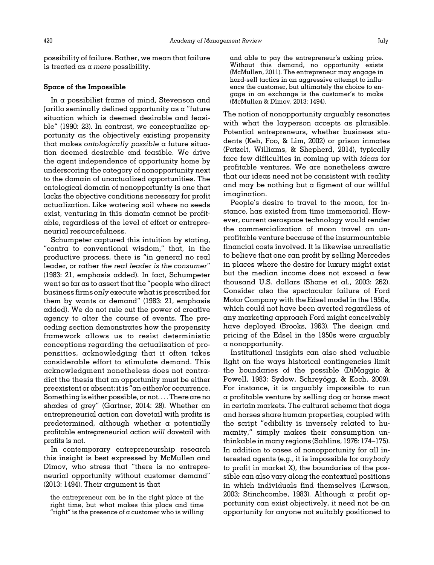possibility of failure. Rather, we mean that failure is treated as a mere possibility.

# Space of the Impossible

In a possibilist frame of mind, Stevenson and Jarillo seminally defined opportunity as a "future situation which is deemed desirable and feasible" (1990: 23). In contrast, we conceptualize opportunity as the objectively existing propensity that makes ontologically possible a future situation deemed desirable and feasible. We drive the agent independence of opportunity home by underscoring the category of nonopportunity next to the domain of unactualized opportunities. The ontological domain of nonopportunity is one that lacks the objective conditions necessary for profit actualization. Like watering soil where no seeds exist, venturing in this domain cannot be profitable, regardless of the level of effort or entrepreneurial resourcefulness.

Schumpeter captured this intuition by stating, "contra to conventional wisdom," that, in the productive process, there is "in general no real leader, or rather the real leader is the consumer" (1983: 21, emphasis added). In fact, Schumpeter went so far as to assert that the "people who direct business firms only execute what is prescribed for them by wants or demand" (1983: 21, emphasis added). We do not rule out the power of creative agency to alter the course of events. The preceding section demonstrates how the propensity framework allows us to resist deterministic conceptions regarding the actualization of propensities, acknowledging that it often takes considerable effort to stimulate demand. This acknowledgment nonetheless does not contradict the thesis that an opportunity must be either preexistent or absent; it is "an either/or occurrence. Something is either possible, or not.... There are no shades of grey" ([Gartner, 2014](#page-21-0): 28). Whether an entrepreneurial action can dovetail with profits is predetermined, although whether a potentially profitable entrepreneurial action will dovetail with profits is not.

In contemporary entrepreneurship research this insight is best expressed by McMullen and Dimov, who stress that "there is no entrepreneurial opportunity without customer demand" (2013: 1494). Their argument is that

and able to pay the entrepreneur's asking price. Without this demand, no opportunity exists [\(McMullen, 2011\)](#page-22-0). The entrepreneur may engage in hard-sell tactics in an aggressive attempt to influence the customer, but ultimately the choice to engage in an exchange is the customer's to make [\(McMullen & Dimov, 2013:](#page-23-0) 1494).

The notion of nonopportunity arguably resonates with what the layperson accepts as plausible. Potential entrepreneurs, whether business students ([Keh, Foo, & Lim, 2002](#page-22-0)) or prison inmates ([Patzelt, Williams,](#page-23-0) [& Shepherd, 2014\)](#page-23-0), typically face few difficulties in coming up with ideas for profitable ventures. We are nonetheless aware that our ideas need not be consistent with reality and may be nothing but a figment of our willful imagination.

People's desire to travel to the moon, for instance, has existed from time immemorial. However, current aerospace technology would render the commercialization of moon travel an unprofitable venture because of the insurmountable financial costs involved. It is likewise unrealistic to believe that one can profit by selling Mercedes in places where the desire for luxury might exist but the median income does not exceed a few thousand U.S. dollars ([Shane et al., 2003](#page-23-0): 262). Consider also the spectacular failure of Ford Motor Company with the Edsel model in the 1950s, which could not have been averted regardless of any marketing approach Ford might conceivably have deployed ([Brooks, 1963](#page-21-0)). The design and pricing of the Edsel in the 1950s were arguably a nonopportunity.

Institutional insights can also shed valuable light on the ways historical contingencies limit the boundaries of the possible [\(DiMaggio](#page-21-0) & [Powell, 1983;](#page-21-0) [Sydow, Schrey](#page-24-0)ö[gg, & Koch, 2009\)](#page-24-0). For instance, it is arguably impossible to run a profitable venture by selling dog or horse meat in certain markets. The cultural schema that dogs and horses share human properties, coupled with the script "edibility is inversely related to humanity," simply makes their consumption unthinkable in many regions [\(Sahlins, 1976:](#page-23-0) 174–175). In addition to cases of nonopportunity for all interested agents (e.g., it is impossible for anybody to profit in market X), the boundaries of the possible can also vary along the contextual positions in which individuals find themselves [\(Lawson,](#page-22-0) [2003;](#page-22-0) [Stinchcombe, 1983\)](#page-24-0). Although a profit opportunity can exist objectively, it need not be an opportunity for anyone not suitably positioned to

the entrepreneur can be in the right place at the right time, but what makes this place and time "right" is the presence of  $\alpha$  customer who is willing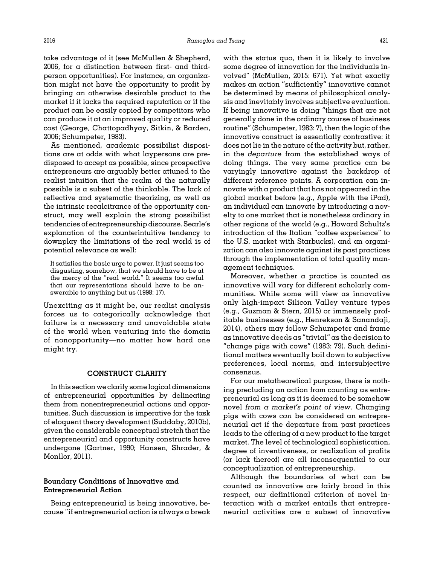take advantage of it (see [McMullen](#page-23-0) [& Shepherd,](#page-23-0) [2006,](#page-23-0) for a distinction between first- and thirdperson opportunities). For instance, an organization might not have the opportunity to profit by bringing an otherwise desirable product to the market if it lacks the required reputation or if the product can be easily copied by competitors who can produce it at an improved quality or reduced cost [\(George, Chattopadhyay, Sitkin, & Barden,](#page-22-0) [2006](#page-22-0); [Schumpeter, 1983\)](#page-23-0).

As mentioned, academic possibilist dispositions are at odds with what laypersons are predisposed to accept as possible, since prospective entrepreneurs are arguably better attuned to the realist intuition that the realm of the naturally possible is a subset of the thinkable. The lack of reflective and systematic theorizing, as well as the intrinsic recalcitrance of the opportunity construct, may well explain the strong possibilist tendencies of entrepreneurship discourse. Searle's explanation of the counterintuitive tendency to downplay the limitations of the real world is of potential relevance as well:

It satisfies the basic urge to power. It just seems too disgusting, somehow, that we should have to be at the mercy of the "real world." It seems too awful that our representations should have to be answerable to anything but us (1998: 17).

Unexciting as it might be, our realist analysis forces us to categorically acknowledge that failure is a necessary and unavoidable state of the world when venturing into the domain of nonopportunity—no matter how hard one might try.

## CONSTRUCT CLARITY

In this section we clarify some logical dimensions of entrepreneurial opportunities by delineating them from nonentrepreneurial actions and opportunities. Such discussion is imperative for the task of eloquent theory development ([Suddaby, 2010b\)](#page-24-0), given the considerable conceptual stretch that the entrepreneurial and opportunity constructs have undergone ([Gartner, 1990](#page-21-0); [Hansen, Shrader, &](#page-22-0) [Monllor, 2011](#page-22-0)).

# Boundary Conditions of Innovative and Entrepreneurial Action

Being entrepreneurial is being innovative, because "if entrepreneurial action is always a break with the status quo, then it is likely to involve some degree of innovation for the individuals involved" [\(McMullen, 2015:](#page-22-0) 671). Yet what exactly makes an action "sufficiently" innovative cannot be determined by means of philosophical analysis and inevitably involves subjective evaluation. If being innovative is doing "things that are not generally done in the ordinary course of business routine" [\(Schumpeter, 1983:](#page-23-0) 7), then the logic of the innovative construct is essentially contrastive: it does not lie in the nature of the activity but, rather, in the departure from the established ways of doing things. The very same practice can be varyingly innovative against the backdrop of different reference points. A corporation can innovate with a product that has not appeared in the global market before (e.g., Apple with the iPad), an individual can innovate by introducing a novelty to one market that is nonetheless ordinary in other regions of the world (e.g., Howard Schultz's introduction of the Italian "coffee experience" to the U.S. market with Starbucks), and an organization can also innovate against its past practices through the implementation of total quality management techniques.

Moreover, whether a practice is counted as innovative will vary for different scholarly communities. While some will view as innovative only high-impact Silicon Valley venture types (e.g., [Guzman](#page-22-0) [& Stern, 2015\)](#page-22-0) or immensely profitable businesses (e.g., [Henrekson](#page-22-0) & [Sanandaji,](#page-22-0) [2014](#page-22-0)), others may follow Schumpeter and frame as innovative deeds as "trivial" as the decision to "change pigs with cows" (1983: 79). Such definitional matters eventually boil down to subjective preferences, local norms, and intersubjective consensus.

For our metatheoretical purpose, there is nothing precluding an action from counting as entrepreneurial as long as it is deemed to be somehow novel from a market's point of view. Changing pigs with cows can be considered an entrepreneurial act if the departure from past practices leads to the offering of a new product to the target market. The level of technological sophistication, degree of inventiveness, or realization of profits (or lack thereof) are all inconsequential to our conceptualization of entrepreneurship.

Although the boundaries of what can be counted as innovative are fairly broad in this respect, our definitional criterion of novel interaction with a market entails that entrepreneurial activities are a subset of innovative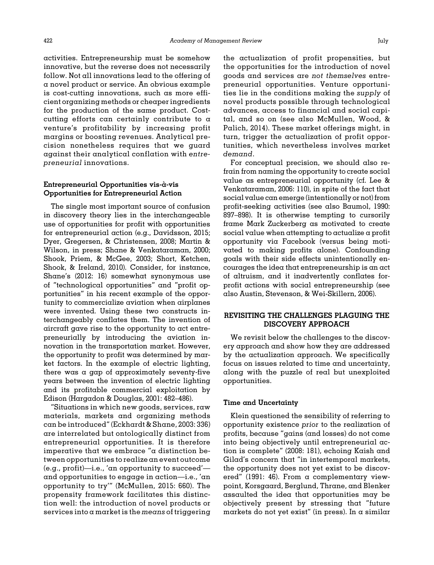activities. Entrepreneurship must be somehow innovative, but the reverse does not necessarily follow. Not all innovations lead to the offering of a novel product or service. An obvious example is cost-cutting innovations, such as more efficient organizing methods or cheaper ingredients for the production of the same product. Costcutting efforts can certainly contribute to a venture's profitability by increasing profit margins or boosting revenues. Analytical precision nonetheless requires that we guard against their analytical conflation with entrepreneurial innovations.

# Entrepreneurial Opportunities vis-à-vis Opportunities for Entrepreneurial Action

The single most important source of confusion in discovery theory lies in the interchangeable use of opportunities for profit with opportunities for entrepreneurial action (e.g., [Davidsson, 2015;](#page-21-0) [Dyer, Gregersen,](#page-21-0) & [Christensen, 2008](#page-21-0); Martin & Wilson, in press; [Shane](#page-24-0) [& Venkataraman, 2000;](#page-24-0) [Shook, Priem,](#page-24-0) [& McGee, 2003](#page-24-0); [Short, Ketchen,](#page-24-0) [Shook, & Ireland, 2010](#page-24-0)). Consider, for instance, Shane'[s \(2012](#page-23-0): 16) somewhat synonymous use of "technological opportunities" and "profit opportunities" in his recent example of the opportunity to commercialize aviation when airplanes were invented. Using these two constructs interchangeably conflates them. The invention of aircraft gave rise to the opportunity to act entrepreneurially by introducing the aviation innovation in the transportation market. However, the opportunity to profit was determined by market factors. In the example of electric lighting, there was a gap of approximately seventy-five years between the invention of electric lighting and its profitable commercial exploitation by Edison ([Hargadon & Douglas, 2001:](#page-22-0) 482–486).

"Situations in which new goods, services, raw materials, markets and organizing methods can be introduced" ([Eckhardt](#page-21-0) [& Shane, 2003](#page-21-0): 336) are interrelated but ontologically distinct from entrepreneurial opportunities. It is therefore imperative that we embrace "a distinction between opportunities to realize an event outcome (e.g., profit)—i.e., 'an opportunity to succeed' and opportunities to engage in action—i.e., 'an opportunity to try'" [\(McMullen, 2015:](#page-22-0) 660). The propensity framework facilitates this distinction well: the introduction of novel products or services into a market is the means of triggering

the actualization of profit propensities, but the opportunities for the introduction of novel goods and services are not themselves entrepreneurial opportunities. Venture opportunities lie in the conditions making the supply of novel products possible through technological advances, access to financial and social capital, and so on (see also [McMullen, Wood, &](#page-23-0) [Palich, 2014\)](#page-23-0). These market offerings might, in turn, trigger the actualization of profit opportunities, which nevertheless involves market demand.

For conceptual precision, we should also refrain from naming the opportunity to create social value as entrepreneurial opportunity (cf. [Lee](#page-22-0) & [Venkataraman, 2006:](#page-22-0) 110), in spite of the fact that social value can emerge (intentionally or not) from profit-seeking activities (see also [Baumol, 1990:](#page-21-0) 897–898). It is otherwise tempting to cursorily frame Mark Zuckerberg as motivated to create social value when attempting to actualize a profit opportunity via Facebook (versus being motivated to making profits alone). Confounding goals with their side effects unintentionally encourages the idea that entrepreneurship is an act of altruism, and it inadvertently conflates forprofit actions with social entrepreneurship (see also [Austin, Stevenson,](#page-20-0) [& Wei-Skillern, 2006](#page-20-0)).

# REVISITING THE CHALLENGES PLAGUING THE DISCOVERY APPROACH

We revisit below the challenges to the discovery approach and show how they are addressed by the actualization approach. We specifically focus on issues related to time and uncertainty, along with the puzzle of real but unexploited opportunities.

#### Time and Uncertainty

Klein questioned the sensibility of referring to opportunity existence prior to the realization of profits, because "gains (and losses) do not come into being objectively until entrepreneurial action is complete" (2008: 181), echoing Kaish and Gilad's concern that "in intertemporal markets, the opportunity does not yet exist to be discovered" (1991: 46). From a complementary viewpoint, Korsgaard, Berglund, Thrane, and Blenker assaulted the idea that opportunities may be objectively present by stressing that "future markets do not yet exist" (in press). In  $\alpha$  similar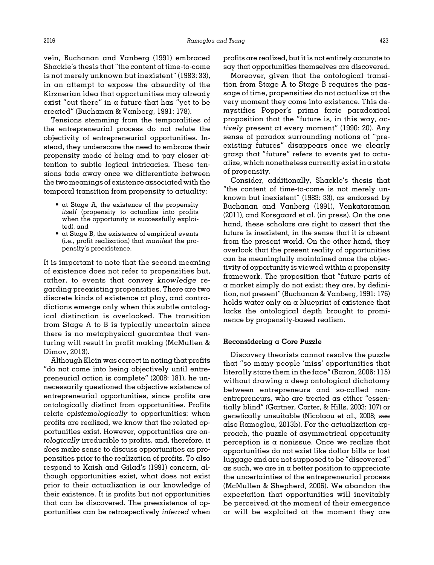vein, [Buchanan and Vanberg \(1991\)](#page-21-0) embraced Shackle's thesis that "the content of time-to-come is not merely unknown but inexistent" (1983: 33), in an attempt to expose the absurdity of the Kirznerian idea that opportunities may already exist "out there" in  $\alpha$  future that has "yet to be created" ([Buchanan](#page-21-0) & [Vanberg, 1991](#page-21-0): 178).

Tensions stemming from the temporalities of the entrepreneurial process do not refute the objectivity of entrepreneurial opportunities. Instead, they underscore the need to embrace their propensity mode of being and to pay closer attention to subtle logical intricacies. These tensions fade away once we differentiate between the two meanings of existence associated with the temporal transition from propensity to actuality:

- at Stage A, the existence of the propensity itself (propensity to actualize into profits when the opportunity is successfully exploited), and
- at Stage B, the existence of empirical events (i.e., profit realization) that manifest the propensity's preexistence.

It is important to note that the second meaning of existence does not refer to propensities but, rather, to events that convey knowledge regarding preexisting propensities. There are two discrete kinds of existence at play, and contradictions emerge only when this subtle ontological distinction is overlooked. The transition from Stage A to B is typically uncertain since there is no metaphysical guarantee that venturing will result in profit making [\(McMullen &](#page-23-0) [Dimov, 2013](#page-23-0)).

Although Klein was correct in noting that profits "do not come into being objectively until entrepreneurial action is complete" (2008: 181), he unnecessarily questioned the objective existence of entrepreneurial opportunities, since profits are ontologically distinct from opportunities. Profits relate epistemologically to opportunities: when profits are realized, we know that the related opportunities exist. However, opportunities are ontologically irreducible to profits, and, therefore, it does make sense to discuss opportunities as propensities prior to the realization of profits. To also respond to [Kaish and Gilad](#page-22-0)'s (1991) concern, although opportunities exist, what does not exist prior to their actualization is our knowledge of their existence. It is profits but not opportunities that can be discovered. The preexistence of opportunities can be retrospectively inferred when profits are realized, but it is not entirely accurate to say that opportunities themselves are discovered.

Moreover, given that the ontological transition from Stage A to Stage B requires the passage of time, propensities do not actualize at the very moment they come into existence. This demystifies Popper's prima facie paradoxical proposition that the "future is, in this way, actively present at every moment" (1990: 20). Any sense of paradox surrounding notions of "preexisting futures" disappears once we clearly grasp that "future" refers to events yet to actualize, which nonetheless currently exist in a state of propensity.

Consider, additionally, Shackle's thesis that "the content of time-to-come is not merely unknown but inexistent" (1983: 33), as endorsed by [Buchanan and Vanberg \(1991\),](#page-21-0) [Venkataraman](#page-24-0) [\(2011\)](#page-24-0), and Korsgaard et al. (in press). On the one hand, these scholars are right to assert that the future is inexistent, in the sense that it is absent from the present world. On the other hand, they overlook that the present reality of opportunities can be meaningfully maintained once the objectivity of opportunity is viewed within a propensity framework. The proposition that "future parts of a market simply do not exist; they are, by definition, not present" [\(Buchanan](#page-21-0) & [Vanberg, 1991](#page-21-0): 176) holds water only on a blueprint of existence that lacks the ontological depth brought to prominence by propensity-based realism.

#### Reconsidering a Core Puzzle

Discovery theorists cannot resolve the puzzle that "so many people 'miss' opportunities that literally stare them in the face" ([Baron, 2006](#page-20-0): 115) without drawing a deep ontological dichotomy between entrepreneurs and so-called nonentrepreneurs, who are treated as either "essentially blind" ([Gartner, Carter, & Hills, 2003](#page-21-0): 107) or genetically unsuitable [\(Nicolaou et al., 2008;](#page-23-0) see also [Ramoglou, 2013b\)](#page-23-0). For the actualization approach, the puzzle of asymmetrical opportunity perception is a nonissue. Once we realize that opportunities do not exist like dollar bills or lost luggage and are not supposed to be "discovered"  $\alpha$ s such, we are in a better position to appreciate the uncertainties of the entrepreneurial process ([McMullen](#page-23-0) & [Shepherd, 2006](#page-23-0)). We abandon the expectation that opportunities will inevitably be perceived at the moment of their emergence or will be exploited at the moment they are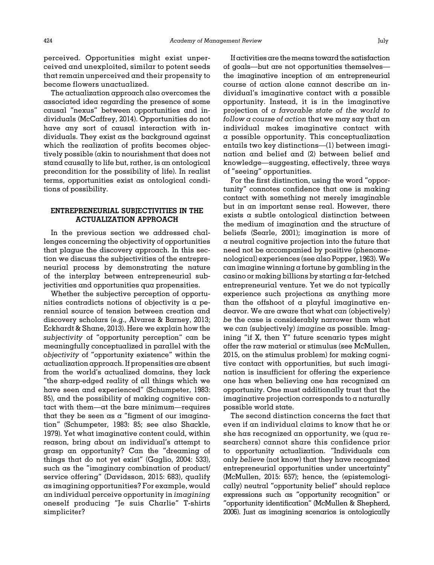perceived. Opportunities might exist unperceived and unexploited, similar to potent seeds that remain unperceived and their propensity to become flowers unactualized.

The actualization approach also overcomes the associated idea regarding the presence of some causal "nexus" between opportunities and individuals [\(McCaffrey, 2014](#page-22-0)). Opportunities do not have any sort of causal interaction with individuals. They exist as the background against which the realization of profits becomes objectively possible (akin to nourishment that does not stand causally to life but, rather, is an ontological precondition for the possibility of life). In realist terms, opportunities exist as ontological conditions of possibility.

## ENTREPRENEURIAL SUBJECTIVITIES IN THE ACTUALIZATION APPROACH

In the previous section we addressed challenges concerning the objectivity of opportunities that plague the discovery approach. In this section we discuss the subjectivities of the entrepreneurial process by demonstrating the nature of the interplay between entrepreneurial subjectivities and opportunities qua propensities.

Whether the subjective perception of opportunities contradicts notions of objectivity is a perennial source of tension between creation and discovery scholars (e.g., [Alvarez & Barney, 2013;](#page-20-0) [Eckhardt & Shane, 2013\)](#page-21-0). Here we explain how the subjectivity of "opportunity perception" can be meaningfully conceptualized in parallel with the objectivity of "opportunity existence" within the actualization approach. If propensities are absent from the world's actualized domains, they lack "the sharp-edged reality of all things which we have seen and experienced" [\(Schumpeter, 1983:](#page-23-0) 85), and the possibility of making cognitive contact with them—at the bare minimum—requires that they be seen as a "figment of our imagination" ([Schumpeter, 1983:](#page-23-0) 85; see also [Shackle,](#page-23-0) [1979\)](#page-23-0). Yet what imaginative content could, within reason, bring about an individual's attempt to grasp an opportunity? Can the "dreaming of things that do not yet exist" [\(Gaglio, 2004](#page-21-0): 533), such as the "imaginary combination of product/ service offering" ([Davidsson, 2015](#page-21-0): 683), qualify as imagining opportunities? For example, would an individual perceive opportunity in imagining oneself producing "Je suis Charlie" T-shirts simpliciter?

If activities are themeans toward the satisfaction of goals—but are not opportunities themselves the imaginative inception of an entrepreneurial course of action alone cannot describe an individual's imaginative contact with a possible opportunity. Instead, it is in the imaginative projection of a favorable state of the world to follow a course of action that we may say that an individual makes imaginative contact with a possible opportunity. This conceptualization entails two key distinctions—(1) between imagination and belief and (2) between belief and knowledge—suggesting, effectively, three ways of "seeing" opportunities.

For the first distinction, using the word "opportunity" connotes confidence that one is making contact with something not merely imaginable but in an important sense real. However, there exists a subtle ontological distinction between the medium of imagination and the structure of beliefs ([Searle, 2001\)](#page-23-0); imagination is more of a neutral cognitive projection into the future that need not be accompanied by positive (phenomenological) experiences (see also [Popper, 1963\)](#page-23-0). We can imagine winning a fortune by gambling in the casino or making billions by starting a far-fetched entrepreneurial venture. Yet we do not typically experience such projections as anything more than the offshoot of a playful imaginative endeavor. We are aware that what can (objectively) be the case is considerably narrower than what we can (subjectively) imagine as possible. Imagining "if X, then Y" future scenario types might offer the raw material or stimulus (see [McMullen,](#page-22-0) [2015,](#page-22-0) on the stimulus problem) for making cognitive contact with opportunities, but such imagination is insufficient for offering the experience one has when believing one has recognized an opportunity. One must additionally trust that the imaginative projection corresponds to a naturally possible world state.

The second distinction concerns the fact that even if an individual claims to know that he or she has recognized an opportunity, we (qua researchers) cannot share this confidence prior to opportunity actualization. "Individuals can only believe (not know) that they have recognized entrepreneurial opportunities under uncertainty" ([McMullen, 2015:](#page-22-0) 657); hence, the (epistemologically) neutral "opportunity belief" should replace expressions such as "opportunity recognition" or "opportunity identification" [\(McMullen & Shepherd,](#page-23-0) [2006\)](#page-23-0). Just as imagining scenarios is ontologically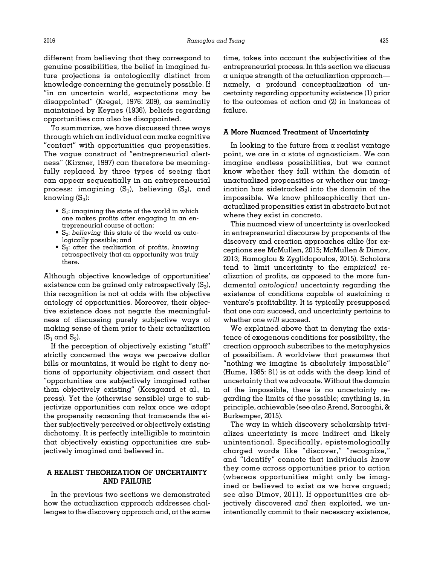different from believing that they correspond to genuine possibilities, the belief in imagined future projections is ontologically distinct from knowledge concerning the genuinely possible. If "in an uncertain world, expectations may be disappointed" [\(Kregel, 1976](#page-22-0): 209), as seminally maintained by [Keynes \(1936\)](#page-22-0), beliefs regarding opportunities can also be disappointed.

To summarize, we have discussed three ways through which an individual can make cognitive "contact" with opportunities qua propensities. The vague construct of "entrepreneurial alertness" [\(Kirzner, 1997\)](#page-22-0) can therefore be meaningfully replaced by three types of seeing that can appear sequentially in an entrepreneurial process: imagining  $(S_1)$ , believing  $(S_2)$ , and knowing  $(S_3)$ :

- $S_1$ : imagining the state of the world in which one makes profits after engaging in an entrepreneurial course of action;
- $S_2$ : believing this state of the world as ontologically possible; and
- $S_3$ : after the realization of profits, knowing retrospectively that an opportunity was truly there.

Although objective knowledge of opportunities' existence can be gained only retrospectively  $(S_3)$ , this recognition is not at odds with the objective ontology of opportunities. Moreover, their objective existence does not negate the meaningfulness of discussing purely subjective ways of making sense of them prior to their actualization  $(S_1 \text{ and } S_2).$ 

If the perception of objectively existing "stuff" strictly concerned the ways we perceive dollar bills or mountains, it would be right to deny notions of opportunity objectivism and assert that "opportunities are subjectively imagined rather than objectively existing" (Korsgaard et al., in press). Yet the (otherwise sensible) urge to subjectivize opportunities can relax once we adopt the propensity reasoning that transcends the either subjectively perceived or objectively existing dichotomy. It is perfectly intelligible to maintain that objectively existing opportunities are subjectively imagined and believed in.

## A REALIST THEORIZATION OF UNCERTAINTY AND FAILURE

In the previous two sections we demonstrated how the actualization approach addresses challenges to the discovery approach and, at the same

time, takes into account the subjectivities of the entrepreneurial process. In this section we discuss a unique strength of the actualization approach namely, a profound conceptualization of uncertainty regarding opportunity existence (1) prior to the outcomes of action and (2) in instances of failure.

#### A More Nuanced Treatment of Uncertainty

In looking to the future from  $\alpha$  realist vantage point, we are in a state of agnosticism. We can imagine endless possibilities, but we cannot know whether they fall within the domain of unactualized propensities or whether our imagination has sidetracked into the domain of the impossible. We know philosophically that unactualized propensities exist in abstracto but not where they exist in concreto.

This nuanced view of uncertainty is overlooked in entrepreneurial discourse by proponents of the discovery and creation approaches alike (for exceptions see [McMullen, 2015;](#page-22-0) [McMullen & Dimov,](#page-23-0) [2013; Ramoglou & Zyglidopoulos, 2015](#page-23-0)). Scholars tend to limit uncertainty to the empirical realization of profits, as opposed to the more fundamental ontological uncertainty regarding the existence of conditions capable of sustaining a venture's profitability. It is typically presupposed that one can succeed, and uncertainty pertains to whether one will succeed.

We explained above that in denying the existence of exogenous conditions for possibility, the creation approach subscribes to the metaphysics of possibilism. A worldview that presumes that "nothing we imagine is absolutely impossible" ([Hume, 1985:](#page-22-0) 81) is at odds with the deep kind of uncertainty that we advocate. Without the domain of the impossible, there is no uncertainty regarding the limits of the possible; anything is, in principle, achievable (see also [Arend, Sarooghi,](#page-20-0) & [Burkemper, 2015](#page-20-0)).

The way in which discovery scholarship trivializes uncertainty is more indirect and likely unintentional. Specifically, epistemologically charged words like "discover," "recognize," and "identify" connote that individuals know they come across opportunities prior to action (whereas opportunities might only be imagined or believed to exist as we have argued; see also [Dimov, 2011](#page-21-0)). If opportunities are objectively discovered and then exploited, we unintentionally commit to their necessary existence,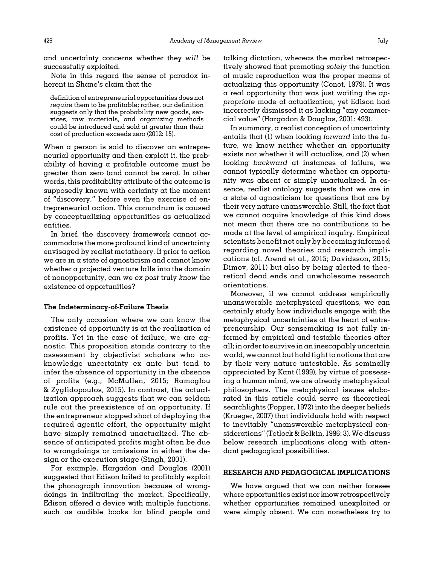and uncertainty concerns whether they will be successfully exploited.

Note in this regard the sense of paradox inherent in Shane's claim that the

definition of entrepreneurial opportunities does not require them to be profitable; rather, our definition suggests only that the probability new goods, services, raw materials, and organizing methods could be introduced and sold at greater than their cost of production exceeds zero (2012: 15).

When a person is said to discover an entrepreneurial opportunity and then exploit it, the probability of having a profitable outcome must be greater than zero (and cannot be zero). In other words, this profitability attribute of the outcome is supposedly known with certainty at the moment of "discovery," before even the exercise of entrepreneurial action. This conundrum is caused by conceptualizing opportunities as actualized entities.

In brief, the discovery framework cannot accommodate the more profound kind of uncertainty envisaged by realist metatheory. If prior to action we are in a state of agnosticism and cannot know whether a projected venture falls into the domain of nonopportunity, can we ex post truly know the existence of opportunities?

#### The Indeterminacy-of-Failure Thesis

The only occasion where we can know the existence of opportunity is at the realization of profits. Yet in the case of failure, we are agnostic. This proposition stands contrary to the assessment by objectivist scholars who acknowledge uncertainty ex ante but tend to infer the absence of opportunity in the absence of profits (e.g., [McMullen, 2015;](#page-22-0) [Ramoglou](#page-23-0) & [Zyglidopoulos, 2015\)](#page-23-0). In contrast, the actualization approach suggests that we can seldom rule out the preexistence of an opportunity. If the entrepreneur stopped short of deploying the required agentic effort, the opportunity might have simply remained unactualized. The absence of anticipated profits might often be due to wrongdoings or omissions in either the design or the execution stage ([Singh, 2001\)](#page-24-0).

For example, [Hargadon and Douglas \(2001\)](#page-22-0) suggested that Edison failed to profitably exploit the phonograph innovation because of wrongdoings in infiltrating the market. Specifically, Edison offered  $\alpha$  device with multiple functions, such as audible books for blind people and

talking dictation, whereas the market retrospectively showed that promoting solely the function of music reproduction was the proper means of actualizing this opportunity ([Conot, 1979\)](#page-21-0). It was  $\alpha$  real opportunity that was just waiting the appropriate mode of actualization, yet Edison had incorrectly dismissed it as lacking "any commercial value" ([Hargadon & Douglas, 2001:](#page-22-0) 493).

In summary, a realist conception of uncertainty entails that (1) when looking forward into the future, we know neither whether an opportunity exists nor whether it will actualize, and (2) when looking backward at instances of failure, we cannot typically determine whether an opportunity was absent or simply unactualized. In essence, realist ontology suggests that we are in a state of agnosticism for questions that are by their very nature unanswerable. Still, the fact that we cannot acquire knowledge of this kind does not mean that there are no contributions to be made at the level of empirical inquiry. Empirical scientists benefit not only by becoming informed regarding novel theories and research implications (cf. [Arend et al., 2015](#page-20-0); [Davidsson, 2015;](#page-21-0) [Dimov, 2011\)](#page-21-0) but also by being alerted to theoretical dead ends and unwholesome research orientations.

Moreover, if we cannot address empirically unanswerable metaphysical questions, we can certainly study how individuals engage with the metaphysical uncertainties at the heart of entrepreneurship. Our sensemaking is not fully informed by empirical and testable theories after all; in order to survive in an inescapably uncertain world, we cannot but hold tight to notions that are by their very nature untestable. As seminally appreciated by [Kant \(1999\)](#page-22-0), by virtue of possessing a human mind, we are already metaphysical philosophers. The metaphysical issues elaborated in this article could serve as theoretical searchlights ([Popper, 1972](#page-23-0)) into the deeper beliefs ([Krueger, 2007](#page-22-0)) that individuals hold with respect to inevitably "unanswerable metaphysical considerations" [\(Tetlock](#page-24-0) [& Belkin, 1996:](#page-24-0) 3). We discuss below research implications along with attendant pedagogical possibilities.

#### RESEARCH AND PEDAGOGICAL IMPLICATIONS

We have argued that we can neither foresee where opportunities exist nor know retrospectively whether opportunities remained unexploited or were simply absent. We can nonetheless try to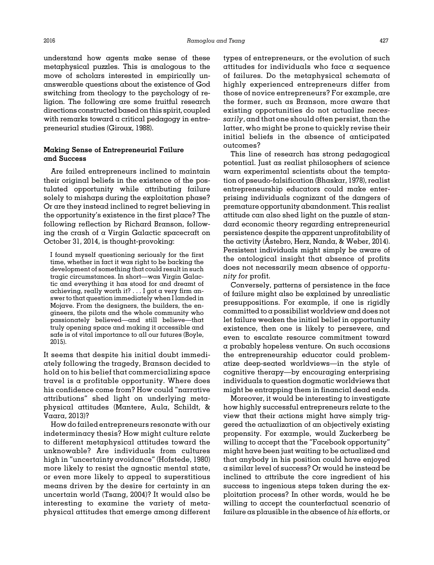2016 Ramoglou and Tsang 427

understand how agents make sense of these metaphysical puzzles. This is analogous to the move of scholars interested in empirically unanswerable questions about the existence of God switching from theology to the psychology of religion. The following are some fruitful research directions constructed based on this spirit, coupled with remarks toward a critical pedagogy in entrepreneurial studies [\(Giroux, 1988](#page-22-0)).

# Making Sense of Entrepreneurial Failure and Success

Are failed entrepreneurs inclined to maintain their original beliefs in the existence of the postulated opportunity while attributing failure solely to mishaps during the exploitation phase? Or are they instead inclined to regret believing in the opportunity's existence in the first place? The following reflection by Richard Branson, following the crash of a Virgin Galactic spacecraft on October 31, 2014, is thought-provoking:

I found myself questioning seriously for the first time, whether in fact it was right to be backing the development of something that could result in such tragic circumstances. In short—was Virgin Galactic and everything it has stood for and dreamt of achieving, really worth it? . . . I got a very firm answer to that question immediately when I landed in Mojave. From the designers, the builders, the engineers, the pilots and the whole community who passionately believed—and still believe—that truly opening space and making it accessible and safe is of vital importance to all our futures ([Boyle,](#page-21-0) [2015\)](#page-21-0).

It seems that despite his initial doubt immediately following the tragedy, Branson decided to hold on to his belief that commercializing space travel is a profitable opportunity. Where does his confidence come from? How could "narrative attributions" shed light on underlying metaphysical attitudes [\(Mantere, Aula, Schildt, &](#page-22-0) [Vaara, 2013](#page-22-0))?

How do failed entrepreneurs resonate with our indeterminacy thesis? How might culture relate to different metaphysical attitudes toward the unknowable? Are individuals from cultures high in "uncertainty avoidance" [\(Hofstede, 1980](#page-22-0)) more likely to resist the agnostic mental state, or even more likely to appeal to superstitious means driven by the desire for certainty in an uncertain world ([Tsang, 2004](#page-24-0))? It would also be interesting to examine the variety of metaphysical attitudes that emerge among different

types of entrepreneurs, or the evolution of such attitudes for individuals who face a sequence of failures. Do the metaphysical schemata of highly experienced entrepreneurs differ from those of novice entrepreneurs? For example, are the former, such as Branson, more aware that existing opportunities do not actualize necessarily, and that one should often persist, than the latter, who might be prone to quickly revise their initial beliefs in the absence of anticipated outcomes?

This line of research has strong pedagogical potential. Just as realist philosophers of science warn experimental scientists about the temptation of pseudo-falsification [\(Bhaskar, 1978](#page-21-0)), realist entrepreneurship educators could make enterprising individuals cognizant of the dangers of premature opportunity abandonment. This realist attitude can also shed light on the puzzle of standard economic theory regarding entrepreneurial persistence despite the apparent unprofitability of the activity (A[stebro, Herz, Nanda,](#page-20-0) & [Weber, 2014](#page-20-0)). Persistent individuals might simply be aware of the ontological insight that absence of profits does not necessarily mean absence of opportunity for profit.

Conversely, patterns of persistence in the face of failure might also be explained by unrealistic presuppositions. For example, if one is rigidly committed to a possibilist worldview and does not let failure weaken the initial belief in opportunity existence, then one is likely to persevere, and even to escalate resource commitment toward a probably hopeless venture. On such occasions the entrepreneurship educator could problematize deep-seated worldviews—in the style of cognitive therapy—by encouraging enterprising individuals to question dogmatic worldviews that might be entrapping them in financial dead ends.

Moreover, it would be interesting to investigate how highly successful entrepreneurs relate to the view that their actions might have simply triggered the actualization of an objectively existing propensity. For example, would Zuckerberg be willing to accept that the "Facebook opportunity" might have been just waiting to be actualized and that anybody in his position could have enjoyed a similar level of success? Or would he instead be inclined to attribute the core ingredient of his success to ingenious steps taken during the exploitation process? In other words, would he be willing to accept the counterfactual scenario of failure as plausible in the absence of his efforts, or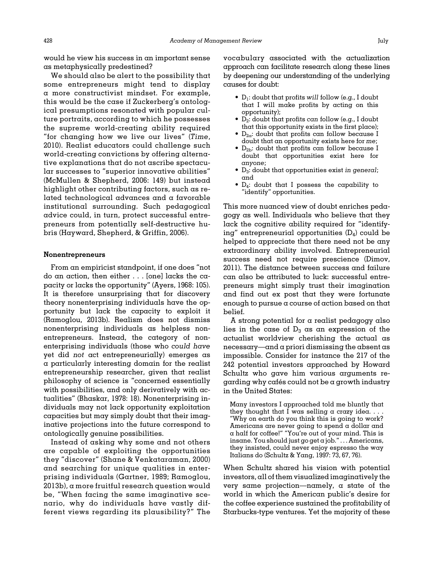would he view his success in an important sense as metaphysically predestined?

We should also be alert to the possibility that some entrepreneurs might tend to display a more constructivist mindset. For example, this would be the case if Zuckerberg's ontological presumptions resonated with popular culture portraits, according to which he possesses the supreme world-creating ability required "for changing how we live our lives" ([Time](#page-24-0), [2010\)](#page-24-0). Realist educators could challenge such world-creating convictions by offering alternative explanations that do not ascribe spectacular successes to "superior innovative abilities" ([McMullen](#page-23-0) & [Shepherd, 2006](#page-23-0): 149) but instead highlight other contributing factors, such as related technological advances and a favorable institutional surrounding. Such pedagogical advice could, in turn, protect successful entrepreneurs from potentially self-destructive hubris ([Hayward, Shepherd,](#page-22-0) [& Griffin, 2006](#page-22-0)).

#### Nonentrepreneurs

From an empiricist standpoint, if one does "not do an action, then either . . . [one] lacks the capacity or lacks the opportunity" ([Ayers, 1968:](#page-20-0) 105). It is therefore unsurprising that for discovery theory nonenterprising individuals have the opportunity but lack the capacity to exploit it [\(Ramoglou, 2013b](#page-23-0)). Realism does not dismiss nonenterprising individuals as helpless nonentrepreneurs. Instead, the category of nonenterprising individuals (those who could have yet did not act entrepreneurially) emerges as a particularly interesting domain for the realist entrepreneurship researcher, given that realist philosophy of science is "concerned essentially with possibilities, and only derivatively with actualities" ([Bhaskar, 1978:](#page-21-0) 18). Nonenterprising individuals may not lack opportunity exploitation capacities but may simply doubt that their imaginative projections into the future correspond to ontologically genuine possibilities.

Instead of asking why some and not others are capable of exploiting the opportunities they "discover" ([Shane](#page-24-0) [& Venkataraman, 2000](#page-24-0)) and searching for unique qualities in enterprising individuals ([Gartner, 1989;](#page-21-0) [Ramoglou,](#page-23-0) [2013b\)](#page-23-0), a more fruitful research question would be, "When facing the same imaginative scenario, why do individuals have vastly different views regarding its plausibility?" The vocabulary associated with the actualization approach can facilitate research along these lines by deepening our understanding of the underlying causes for doubt:

- $\bullet$  D<sub>1</sub>: doubt that profits will follow (e.g., I doubt that I will make profits by acting on this opportunity);
- $\bullet$  D<sub>2</sub>: doubt that profits can follow (e.g., I doubt that this opportunity exists in the first place);
- $D_{2\alpha}$ : doubt that profits can follow because I doubt that an opportunity exists here for me;
- $D_{2b}$ : doubt that profits can follow because I doubt that opportunities exist here for anyone;
- $\bullet$  D<sub>3</sub>: doubt that opportunities exist in general; and
- D4: doubt that I possess the capability to "identify" opportunities.

This more nuanced view of doubt enriches pedagogy as well. Individuals who believe that they lack the cognitive ability required for "identifying" entrepreneurial opportunities  $(D_4)$  could be helped to appreciate that there need not be any extraordinary ability involved. Entrepreneurial success need not require prescience [\(Dimov,](#page-21-0) [2011\)](#page-21-0). The distance between success and failure can also be attributed to luck: successful entrepreneurs might simply trust their imagination and find out ex post that they were fortunate enough to pursue a course of action based on that belief.

A strong potential for a realist pedagogy also lies in the case of  $D_3$  as an expression of the actualist worldview cherishing the actual as necessary—and a priori dismissing the absent as impossible. Consider for instance the 217 of the 242 potential investors approached by Howard Schultz who gave him various arguments re- $\gamma$  garding why cafés could not be a growth industry in the United States:

Many investors I approached told me bluntly that they thought that I was selling a crazy idea.  $\ldots$ "Why on earth do you think this is going to work? Americans are never going to spend a dollar and a half for coffee!" "You're out of your mind. This is insane. You should just go get a job." . . . Americans, they insisted, could never enjoy espresso the way Italians do [\(Schultz](#page-23-0) & [Yang, 1997](#page-23-0): 73, 67, 76).

When Schultz shared his vision with potential investors, all of them visualized imaginatively the very same projection—namely, a state of the world in which the American public's desire for the coffee experience sustained the profitability of Starbucks-type ventures. Yet the majority of these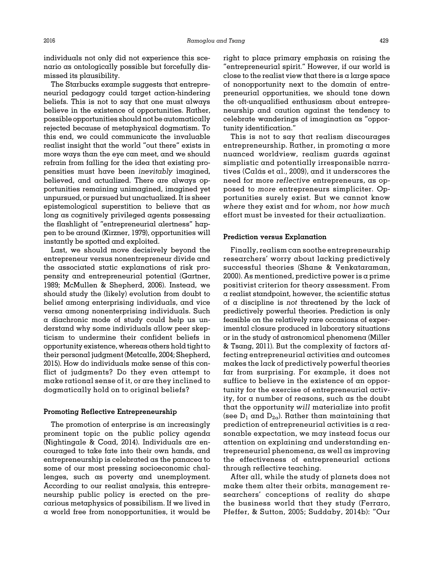individuals not only did not experience this scenario as ontologically possible but forcefully dismissed its plausibility.

The Starbucks example suggests that entrepreneurial pedagogy could target action-hindering beliefs. This is not to say that one must always believe in the existence of opportunities. Rather, possible opportunities should not be automatically rejected because of metaphysical dogmatism. To this end, we could communicate the invaluable realist insight that the world "out there" exists in more ways than the eye can meet, and we should refrain from falling for the idea that existing propensities must have been inevitably imagined, believed, and actualized. There are always opportunities remaining unimagined, imagined yet unpursued, or pursued but unactualized. It is sheer epistemological superstition to believe that as long as cognitively privileged agents possessing the flashlight of "entrepreneurial alertness" happen to be around [\(Kirzner, 1979](#page-22-0)), opportunities will instantly be spotted and exploited.

Last, we should move decisively beyond the entrepreneur versus nonentrepreneur divide and the associated static explanations of risk propensity and entrepreneurial potential ([Gartner,](#page-21-0) [1989;](#page-21-0) [McMullen](#page-23-0) [& Shepherd, 2006](#page-23-0)). Instead, we should study the (likely) evolution from doubt to belief among enterprising individuals, and vice versa among nonenterprising individuals. Such a diachronic mode of study could help us understand why some individuals allow peer skepticism to undermine their confident beliefs in opportunity existence, whereas others hold tight to their personal judgment [\(Metcalfe, 2004;](#page-23-0) [Shepherd,](#page-24-0) [2015](#page-24-0)). How do individuals make sense of this conflict of judgments? Do they even attempt to make rational sense of it, or are they inclined to dogmatically hold on to original beliefs?

#### Promoting Reflective Entrepreneurship

The promotion of enterprise is an increasingly prominent topic on the public policy agenda [\(Nightingale & Coad, 2014](#page-23-0)). Individuals are encouraged to take fate into their own hands, and entrepreneurship is celebrated as the panacea to some of our most pressing socioeconomic challenges, such as poverty and unemployment. According to our realist analysis, this entrepreneurship public policy is erected on the precarious metaphysics of possibilism. If we lived in a world free from nonopportunities, it would be

right to place primary emphasis on raising the "entrepreneurial spirit." However, if our world is close to the realist view that there is a large space of nonopportunity next to the domain of entrepreneurial opportunities, we should tone down the oft-unqualified enthusiasm about entrepreneurship and caution against the tendency to celebrate wanderings of imagination as "opportunity identification."

This is not to say that realism discourages entrepreneurship. Rather, in promoting a more nuanced worldview, realism guards against simplistic and potentially irresponsible narratives (Calás et al., 2009), and it underscores the need for more reflective entrepreneurs, as opposed to more entrepreneurs simpliciter. Opportunities surely exist. But we cannot know where they exist and for whom, nor how much effort must be invested for their actualization.

## Prediction versus Explanation

Finally, realism can soothe entrepreneurship researchers' worry about lacking predictively successful theories ([Shane](#page-24-0) [& Venkataraman,](#page-24-0) [2000\)](#page-24-0). As mentioned, predictive power is a prime positivist criterion for theory assessment. From a realist standpoint, however, the scientific status of a discipline is not threatened by the lack of predictively powerful theories. Prediction is only feasible on the relatively rare occasions of experimental closure produced in laboratory situations or in the study of astronomical phenomena ([Miller](#page-23-0) [& Tsang, 2011](#page-23-0)). But the complexity of factors affecting entrepreneurial activities and outcomes makes the lack of predictively powerful theories far from surprising. For example, it does not suffice to believe in the existence of an opportunity for the exercise of entrepreneurial activity, for a number of reasons, such as the doubt that the opportunity will materialize into profit (see  $D_1$  and  $D_{2\sigma}$ ). Rather than maintaining that prediction of entrepreneurial activities is a reasonable expectation, we may instead focus our attention on explaining and understanding entrepreneurial phenomena, as well as improving the effectiveness of entrepreneurial actions through reflective teaching.

After all, while the study of planets does not make them alter their orbits, management researchers' conceptions of reality do shape the business world that they study ([Ferraro,](#page-21-0) [Pfeffer,](#page-21-0) & [Sutton, 2005](#page-21-0); [Suddaby, 2014b](#page-24-0)): "Our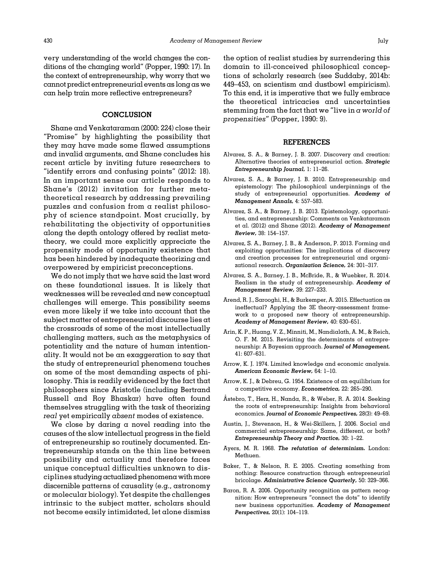<span id="page-20-0"></span>very understanding of the world changes the conditions of the changing world" [\(Popper, 1990](#page-23-0): 17). In the context of entrepreneurship, why worry that we cannot predict entrepreneurial events as long as we can help train more reflective entrepreneurs?

## **CONCLUSION**

[Shane and Venkataraman \(2000:](#page-24-0) 224) close their "Promise" by highlighting the possibility that they may have made some flawed assumptions and invalid arguments, and Shane concludes his recent article by inviting future researchers to "identify errors and confusing points" (2012: 18). In an important sense our article responds to Shane'[s \(2012\)](#page-23-0) invitation for further metatheoretical research by addressing prevailing puzzles and confusion from a realist philosophy of science standpoint. Most crucially, by rehabilitating the objectivity of opportunities along the depth ontology offered by realist metatheory, we could more explicitly appreciate the propensity mode of opportunity existence that has been hindered by inadequate theorizing and overpowered by empiricist preconceptions.

We do not imply that we have said the last word on these foundational issues. It is likely that weaknesses will be revealed and new conceptual challenges will emerge. This possibility seems even more likely if we take into account that the subject matter of entrepreneurial discourse lies at the crossroads of some of the most intellectually challenging matters, such as the metaphysics of potentiality and the nature of human intentionality. It would not be an exaggeration to say that the study of entrepreneurial phenomena touches on some of the most demanding aspects of philosophy. This is readily evidenced by the fact that philosophers since Aristotle (including Bertrand Russell and Roy Bhaskar) have often found themselves struggling with the task of theorizing real yet empirically absent modes of existence.

We close by daring a novel reading into the causes of the slow intellectual progress in the field of entrepreneurship so routinely documented. Entrepreneurship stands on the thin line between possibility and actuality and therefore faces unique conceptual difficulties unknown to disciplines studying actualized phenomenawithmore discernible patterns of causality (e.g., astronomy or molecular biology). Yet despite the challenges intrinsic to the subject matter, scholars should not become easily intimidated, let alone dismiss

the option of realist studies by surrendering this domain to ill-conceived philosophical conceptions of scholarly research (see [Suddaby, 2014b:](#page-24-0) 449–453, on scientism and dustbowl empiricism). To this end, it is imperative that we fully embrace the theoretical intricacies and uncertainties stemming from the fact that we "live in  $\alpha$  world of propensities" ([Popper, 1990:](#page-23-0) 9).

#### REFERENCES

- Alvarez, S. A., & Barney, J. B. 2007. Discovery and creation: Alternative theories of entrepreneurial action. Strategic Entrepreneurship Journal, 1: 11–26.
- Alvarez, S. A., & Barney, J. B. 2010. Entrepreneurship and epistemology: The philosophical underpinnings of the study of entrepreneurial opportunities. Academy of Management Annals, 4: 557–583.
- Alvarez, S. A., & Barney, J. B. 2013. Epistemology, opportunities, and entrepreneurship: Comments on Venkataraman et al. (2012) and Shane (2012). Academy of Management Review, 38: 154–157.
- Alvarez, S. A., Barney, J. B., & Anderson, P. 2013. Forming and exploiting opportunities: The implications of discovery and creation processes for entrepreneurial and organizational research. Organization Science, 24: 301–317.
- Alvarez, S. A., Barney, J. B., McBride, R., & Wuebker, R. 2014. Realism in the study of entrepreneurship. Academy of Management Review, 39: 227–233.
- Arend, R. J., Sarooghi, H., & Burkemper, A. 2015. Effectuation as ineffectual? Applying the 3E theory-assessment framework to a proposed new theory of entrepreneurship. Academy of Management Review, 40: 630–651.
- Arin, K. P., Huang, V. Z., Minniti, M., Nandialath, A. M., & Reich, O. F. M. 2015. Revisiting the determinants of entrepreneurship: A Bayesian approach. Journal of Management, 41: 607–631.
- Arrow, K. J. 1974. Limited knowledge and economic analysis. American Economic Review, 64: 1–10.
- Arrow, K. J., & Debreu, G. 1954. Existence of an equilibrium for a competitive economy. Econometrica, 22: 265–290.
- Astebro, T., Herz, H., Nanda, R., & Weber, R. A. 2014. Seeking ˚ the roots of entrepreneurship: Insights from behavioral economics. Journal of Economic Perspectives, 28(3): 49–69.
- Austin, J., Stevenson, H., & Wei-Skillern, J. 2006. Social and commercial entrepreneurship: Same, different, or both? Entrepreneurship Theory and Practice, 30: 1–22.
- Ayers, M. R. 1968. The refutation of determinism. London: Methuen.
- Baker, T., & Nelson, R. E. 2005. Creating something from nothing: Resource construction through entrepreneurial bricolage. Administrative Science Quarterly, 50: 329–366.
- Baron, R. A. 2006. Opportunity recognition as pattern recognition: How entrepreneurs "connect the dots" to identify new business opportunities. Academy of Management Perspectives, 20(1): 104–119.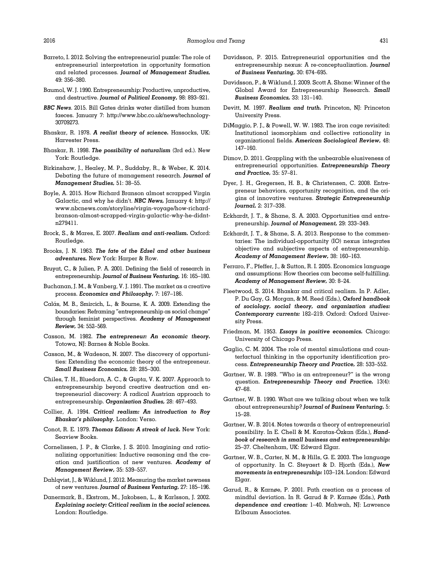- <span id="page-21-0"></span>Barreto, I. 2012. Solving the entrepreneurial puzzle: The role of entrepreneurial interpretation in opportunity formation and related processes. Journal of Management Studies, 49: 356–380.
- Baumol, W. J. 1990. Entrepreneurship: Productive, unproductive, and destructive. Journal of Political Economy, 98: 893–921.
- BBC News. 2015. Bill Gates drinks water distilled from human faeces. January 7: [http://www.bbc.co.uk/news/technology-](http://www.bbc.co.uk/news/technology-30709273)[30709273.](http://www.bbc.co.uk/news/technology-30709273)
- Bhaskar, R. 1978. A realist theory of science. Hassocks, UK: Harvester Press.
- Bhaskar, R. 1998. The possibility of naturalism (3rd ed.). New York: Routledge.
- Birkinshaw, J., Healey, M. P., Suddaby, R., & Weber, K. 2014. Debating the future of management research. Journal of Management Studies, 51: 38–55.
- Boyle, A. 2015. How Richard Branson almost scrapped Virgin Galactic, and why he didn't. NBC News, January 4: [http://](http://www.nbcnews.com/storyline/virgin-voyage/how-richard-branson-almost-scrapped-virgin-galactic-why-he-didnt-n279411) [www.nbcnews.com/storyline/virgin-voyage/how-richard](http://www.nbcnews.com/storyline/virgin-voyage/how-richard-branson-almost-scrapped-virgin-galactic-why-he-didnt-n279411)[branson-almost-scrapped-virgin-galactic-why-he-didnt](http://www.nbcnews.com/storyline/virgin-voyage/how-richard-branson-almost-scrapped-virgin-galactic-why-he-didnt-n279411)[n279411.](http://www.nbcnews.com/storyline/virgin-voyage/how-richard-branson-almost-scrapped-virgin-galactic-why-he-didnt-n279411)
- Brock, S., & Mares, E. 2007. Realism and anti-realism. Oxford: Routledge.
- Brooks, J. N. 1963. The fate of the Edsel and other business adventures. New York: Harper & Row.
- Bruyat, C., & Julien, P. A. 2001. Defining the field of research in entrepreneurship. Journal of Business Venturing, 16: 165–180.
- Buchanan, J. M., & Vanberg, V. J. 1991. The market as a creative process. Economics and Philosophy, 7: 167–186.
- Calás, M. B., Smircich, L., & Bourne, K. A. 2009. Extending the boundaries: Reframing "entrepreneurship as social change" through feminist perspectives. Academy of Management Review, 34: 552–569.
- Casson, M. 1982. The entrepreneur: An economic theory. Totowa, NJ: Barnes & Noble Books.
- Casson, M., & Wadeson, N. 2007. The discovery of opportunities: Extending the economic theory of the entrepreneur. Small Business Economics, 28: 285–300.
- Chiles, T. H., Bluedorn, A. C., & Gupta, V. K. 2007. Approach to entrepreneurship beyond creative destruction and entrepreneurial discovery: A radical Austrian approach to entrepreneurship. Organization Studies, 28: 467–493.
- Collier, A. 1994. Critical realism: An introduction to Roy Bhaskar's philosophy. London: Verso.
- Conot, R. E. 1979. Thomas Edison: A streak of luck. New York: Seaview Books.
- Cornelissen, J. P., & Clarke, J. S. 2010. Imagining and rationalizing opportunities: Inductive reasoning and the creation and justification of new ventures. Academy of Management Review, 35: 539–557.
- Dahlqvist, J., & Wiklund, J. 2012. Measuring the market newness of new ventures. Journal of Business Venturing, 27: 185–196.
- Danermark, B., Ekstrom, M., Jakobsen, L., & Karlsson, J. 2002. Explaining society: Critical realism in the social sciences. London: Routledge.
- Davidsson, P. 2015. Entrepreneurial opportunities and the entrepreneurship nexus: A re-conceptualization. Journal of Business Venturing, 30: 674–695.
- Davidsson, P., & Wiklund, J. 2009. Scott A. Shane: Winner of the Global Award for Entrepreneurship Research. Small Business Economics, 33: 131–140.
- Devitt, M. 1997. Realism and truth. Princeton, NJ: Princeton University Press.
- DiMaggio, P. J., & Powell, W. W. 1983. The iron cage revisited: Institutional isomorphism and collective rationality in organizational fields. American Sociological Review, 48: 147–160.
- Dimov, D. 2011. Grappling with the unbearable elusiveness of entrepreneurial opportunities. Entrepreneurship Theory and Practice, 35: 57–81.
- Dyer, J. H., Gregersen, H. B., & Christensen, C. 2008. Entrepreneur behaviors, opportunity recognition, and the origins of innovative ventures. Strategic Entrepreneurship Journal, 2: 317–338.
- Eckhardt, J. T., & Shane, S. A. 2003. Opportunities and entrepreneurship. Journal of Management, 29: 333–349.
- Eckhardt, J. T., & Shane, S. A. 2013. Response to the commentaries: The individual-opportunity (IO) nexus integrates objective and subjective aspects of entrepreneurship. Academy of Management Review, 38: 160–163.
- Ferraro, F., Pfeffer, J., & Sutton, R. I. 2005. Economics language and assumptions: How theories can become self-fulfilling. Academy of Management Review, 30: 8–24.
- Fleetwood, S. 2014. Bhaskar and critical realism. In P. Adler, P. Du Gay, G. Morgan, & M. Reed (Eds.), Oxford handbook of sociology, social theory, and organization studies: Contemporary currents: 182–219. Oxford: Oxford University Press.
- Friedman, M. 1953. Essays in positive economics. Chicago: University of Chicago Press.
- Gaglio, C. M. 2004. The role of mental simulations and counterfactual thinking in the opportunity identification process. Entrepreneurship Theory and Practice, 28: 533–552.
- Gartner, W. B. 1989. "Who is an entrepreneur?" is the wrong question. Entrepreneurship Theory and Practice, 13(4): 47–68.
- Gartner, W. B. 1990. What are we talking about when we talk about entrepreneurship? Journal of Business Venturing, 5: 15–28.
- Gartner, W. B. 2014. Notes towards a theory of entrepreneurial possibility. In E. Chell & M. Karatas-Özkan (Eds.), Handbook of research in small business and entrepreneurship: 25–37. Cheltenham, UK: Edward Elgar.
- Gartner, W. B., Carter, N. M., & Hills, G. E. 2003. The language of opportunity. In C. Steyaert & D. Hjorth (Eds.), New movements in entrepreneurship: 103–124. London: Edward Elgar.
- Garud, R., & Karnøe, P. 2001. Path creation as a process of mindful deviation. In R. Garud & P. Karnøe (Eds.), Path dependence and creation: 1–40. Mahwah, NJ: Lawrence Erlbaum Associates.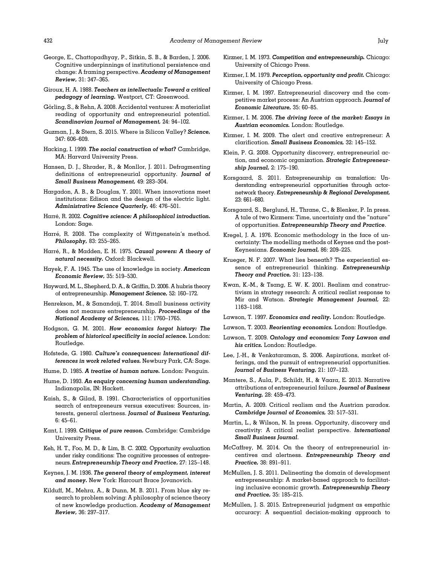- <span id="page-22-0"></span>George, E., Chattopadhyay, P., Sitkin, S. B., & Barden, J. 2006. Cognitive underpinnings of institutional persistence and change: A framing perspective. Academy of Management Review, 31: 347–365.
- Giroux, H. A. 1988. Teachers as intellectuals: Toward a critical pedagogy of learning. Westport, CT: Greenwood.
- Görling, S., & Rehn, A. 2008. Accidental ventures: A materialist reading of opportunity and entrepreneurial potential. Scandinavian Journal of Management, 24: 94–102.
- Guzman, J., & Stern, S. 2015. Where is Silicon Valley? Science, 347: 606–609.
- Hacking, I. 1999. The social construction of what? Cambridge, MA: Harvard University Press.
- Hansen, D. J., Shrader, R., & Monllor, J. 2011. Defragmenting definitions of entrepreneurial opportunity. Journal of Small Business Management, 49: 283–304.
- Hargadon, A. B., & Douglas, Y. 2001. When innovations meet institutions: Edison and the design of the electric light. Administrative Science Quarterly, 46: 476–501.
- Harré, R. 2002. Cognitive science: A philosophical introduction. London: Sage.
- Harré, R. 2008. The complexity of Wittgenstein's method. Philosophy, 83: 255-265.
- Harré, R., & Madden, E. H. 1975. Causal powers: A theory of natural necessity. Oxford: Blackwell.
- Hayek, F. A. 1945. The use of knowledge in society. American Economic Review, 35: 519–530.
- Hayward, M. L., Shepherd, D. A., & Griffin, D. 2006. A hubris theory of entrepreneurship. Management Science, 52: 160–172.
- Henrekson, M., & Sanandaji, T. 2014. Small business activity does not measure entrepreneurship. Proceedings of the National Academy of Sciences, 111: 1760–1765.
- Hodgson, G. M. 2001. How economics forgot history: The problem of historical specificity in social science. London: Routledge.
- Hofstede, G. 1980. Culture's consequences: International differences in work related values. Newbury Park, CA: Sage.
- Hume, D. 1985. A treatise of human nature. London: Penguin.
- Hume, D. 1993. An enquiry concerning human understanding. Indianapolis, IN: Hackett.
- Kaish, S., & Gilad, B. 1991. Characteristics of opportunities search of entrepreneurs versus executives: Sources, interests, general alertness. Journal of Business Venturing, 6: 45–61.
- Kant, I. 1999. Critique of pure reason. Cambridge: Cambridge University Press.
- Keh, H. T., Foo, M. D., & Lim, B. C. 2002. Opportunity evaluation under risky conditions: The cognitive processes of entrepreneurs. Entrepreneurship Theory and Practice, 27: 125–148.
- Keynes, J. M. 1936. The general theory of employment, interest and money. New York: Harcourt Brace Jovanovich.
- Kilduff, M., Mehra, A., & Dunn, M. B. 2011. From blue sky research to problem solving: A philosophy of science theory of new knowledge production. Academy of Management Review, 36: 297–317.
- Kirzner, I. M. 1973. Competition and entrepreneurship. Chicago: University of Chicago Press.
- Kirzner, I. M. 1979. Perception, opportunity and profit. Chicago: University of Chicago Press.
- Kirzner, I. M. 1997. Entrepreneurial discovery and the competitive market process: An Austrian approach. Journal of Economic Literature, 35: 60–85.
- Kirzner, I. M. 2006. The driving force of the market: Essays in Austrian economics. London: Routledge.
- Kirzner, I. M. 2009. The alert and creative entrepreneur: A clarification. Small Business Economics, 32: 145–152.
- Klein, P. G. 2008. Opportunity discovery, entrepreneurial action, and economic organization. Strategic Entrepreneurship Journal, 2: 175–190.
- Korsgaard, S. 2011. Entrepreneurship as translation: Understanding entrepreneurial opportunities through actornetwork theory. Entrepreneurship & Regional Development, 23: 661–680.
- Korsgaard, S., Berglund, H., Thrane, C., & Blenker, P. In press. A tale of two Kirzners: Time, uncertainty and the "nature" of opportunities. Entrepreneurship Theory and Practice.
- Kregel, J. A. 1976. Economic methodology in the face of uncertainty: The modelling methods of Keynes and the post-Keynesians. Economic Journal, 86: 209–225.
- Krueger, N. F. 2007. What lies beneath? The experiential essence of entrepreneurial thinking. Entrepreneurship Theory and Practice, 31: 123–138.
- Kwan, K.-M., & Tsang, E. W. K. 2001. Realism and constructivism in strategy research: A critical realist response to Mir and Watson. Strategic Management Journal, 22: 1163–1168.
- Lawson, T. 1997. Economics and reality. London: Routledge.
- Lawson, T. 2003. Reorienting economics. London: Routledge.
- Lawson, T. 2009. Ontology and economics: Tony Lawson and his critics. London: Routledge.
- Lee, J.-H., & Venkataraman, S. 2006. Aspirations, market offerings, and the pursuit of entrepreneurial opportunities. Journal of Business Venturing, 21: 107–123.
- Mantere, S., Aula, P., Schildt, H., & Vaara, E. 2013. Narrative attributions of entrepreneurial failure. Journal of Business Venturing, 28: 459–473.
- Martin, A. 2009. Critical realism and the Austrian paradox. Cambridge Journal of Economics, 33: 517–531.
- Martin, L., & Wilson, N. In press. Opportunity, discovery and creativity: A critical realist perspective. International Small Business Journal.
- McCaffrey, M. 2014. On the theory of entrepreneurial incentives and alertness. Entrepreneurship Theory and Practice, 38: 891–911.
- McMullen, J. S. 2011. Delineating the domain of development entrepreneurship: A market-based approach to facilitating inclusive economic growth. Entrepreneurship Theory and Practice, 35: 185–215.
- McMullen, J. S. 2015. Entrepreneurial judgment as empathic accuracy: A sequential decision-making approach to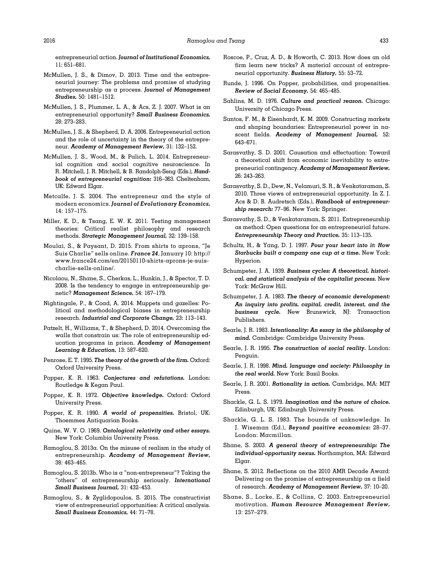- <span id="page-23-0"></span>McMullen, J. S., & Dimov, D. 2013. Time and the entrepreneurial journey: The problems and promise of studying entrepreneurship as a process. Journal of Management Studies, 50: 1481–1512.
- McMullen, J. S., Plummer, L. A., & Acs, Z. J. 2007. What is an entrepreneurial opportunity? Small Business Economics, 28: 273–283.
- McMullen, J. S., & Shepherd, D. A. 2006. Entrepreneurial action and the role of uncertainty in the theory of the entrepreneur. Academy of Management Review, 31: 132–152.
- McMullen, J. S., Wood, M., & Palich, L. 2014. Entrepreneurial cognition and social cognitive neuroscience. In R. Mitchell, J. R. Mitchell, & B. Randolph-Seng (Eds.), Handbook of entrepreneurial cognition: 316–363. Cheltenham, UK: Edward Elgar.
- Metcalfe, J. S. 2004. The entrepreneur and the style of modern economics. Journal of Evolutionary Economics, 14: 157–175.
- Miller, K. D., & Tsang, E. W. K. 2011. Testing management theories: Critical realist philosophy and research methods. Strategic Management Journal, 32: 139–158.
- Moulai, S., & Paysant, D. 2015. From shirts to aprons, "Je Suis Charlie" sells online. France 24, January 10: [http://](http://www.france24.com/en/20150110-shirts-aprons-je-suis-charlie-sells-online/) [www.france24.com/en/20150110-shirts-aprons-je-suis](http://www.france24.com/en/20150110-shirts-aprons-je-suis-charlie-sells-online/)[charlie-sells-online/.](http://www.france24.com/en/20150110-shirts-aprons-je-suis-charlie-sells-online/)
- Nicolaou, N., Shane, S., Cherkas, L., Hunkin, J., & Spector, T. D. 2008. Is the tendency to engage in entrepreneurship genetic? Management Science, 54: 167–179.
- Nightingale, P., & Coad, A. 2014. Muppets and gazelles: Political and methodological biases in entrepreneurship research. Industrial and Corporate Change, 23: 113–143.
- Patzelt, H., Williams, T., & Shepherd, D. 2014. Overcoming the walls that constrain us: The role of entrepreneurship education programs in prison. Academy of Management Learning & Education, 13: 587–620.
- Penrose, E. T. 1995. The theory of the growth of the firm. Oxford: Oxford University Press.
- Popper, K. R. 1963. Conjectures and refutations. London: Routledge & Kegan Paul.
- Popper, K. R. 1972. Objective knowledge. Oxford: Oxford University Press.
- Popper, K. R. 1990. A world of propensities. Bristol, UK: Thoemmes Antiquarian Books.
- Quine, W. V. O. 1969. Ontological relativity and other essays. New York: Columbia University Press.
- Ramoglou, S. 2013a. On the misuse of realism in the study of entrepreneurship. Academy of Management Review, 38: 463–465.
- Ramoglou, S. 2013b. Who is a "non-entrepreneur"? Taking the "others" of entrepreneurship seriously. International Small Business Journal, 31: 432–453.
- Ramoglou, S., & Zyglidopoulos, S. 2015. The constructivist view of entrepreneurial opportunities: A critical analysis. Small Business Economics, 44: 71–78.
- Roscoe, P., Cruz, A. D., & Howorth, C. 2013. How does an old firm learn new tricks? A material account of entrepreneurial opportunity. Business History, 55: 53–72.
- Runde, J. 1996. On Popper, probabilities, and propensities. Review of Social Economy, 54: 465–485.
- Sahlins, M. D. 1976. Culture and practical reason. Chicago: University of Chicago Press.
- Santos, F. M., & Eisenhardt, K. M. 2009. Constructing markets and shaping boundaries: Entrepreneurial power in nascent fields. Academy of Management Journal, 52: 643–671.
- Sarasvathy, S. D. 2001. Causation and effectuation: Toward a theoretical shift from economic inevitability to entrepreneurial contingency. Academy of Management Review, 26: 243–263.
- Sarasvathy, S. D., Dew, N., Velamuri, S. R., & Venkataraman, S. 2010. Three views of entrepreneurial opportunity. In Z. J. Acs & D. B. Audretsch (Eds.), Handbook of entrepreneurship research: 77–96. New York: Springer.
- Sarasvathy, S. D., & Venkataraman, S. 2011. Entrepreneurship as method: Open questions for an entrepreneurial future. Entrepreneurship Theory and Practice, 35: 113–135.
- Schultz, H., & Yang, D. J. 1997. Pour your heart into it: How Starbucks built a company one cup at a time. New York: Hyperion.
- Schumpeter, J. A. 1939. Business cycles: A theoretical, historical, and statistical analysis of the capitalist process. New York: McGraw Hill.
- Schumpeter, J. A. 1983. The theory of economic development: An inquiry into profits, capital, credit, interest, and the business cycle. New Brunswick, NJ: Transaction Publishers.
- Searle, J. R. 1983. Intentionality: An essay in the philosophy of mind. Cambridge: Cambridge University Press.
- Searle, J. R. 1995. The construction of social reality. London: Penguin.
- Searle, J. R. 1998. Mind, language and society: Philosophy in the real world. New York: Basil Books.
- Searle, J. R. 2001. Rationality in action. Cambridge, MA: MIT Press.
- Shackle, G. L. S. 1979. Imagination and the nature of choice. Edinburgh, UK: Edinburgh University Press.
- Shackle, G. L. S. 1983. The bounds of unknowledge. In J. Wiseman (Ed.), Beyond positive economics: 28–37. London: Macmillan.
- Shane, S. 2003. A general theory of entrepreneurship: The individual-opportunity nexus. Northampton, MA: Edward Elgar.
- Shane, S. 2012. Reflections on the 2010 AMR Decade Award: Delivering on the promise of entrepreneurship as a field of research. Academy of Management Review, 37: 10–20.
- Shane, S., Locke, E., & Collins, C. 2003. Entrepreneurial motivation. Human Resource Management Review, 13: 257–279.